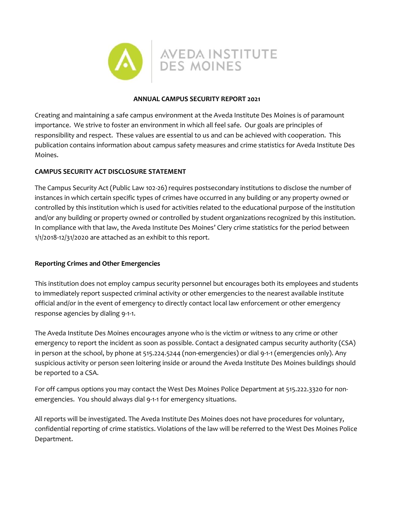

## **ANNUAL CAMPUS SECURITY REPORT 2021**

Creating and maintaining a safe campus environment at the Aveda Institute Des Moines is of paramount importance. We strive to foster an environment in which all feel safe. Our goals are principles of responsibility and respect. These values are essential to us and can be achieved with cooperation. This publication contains information about campus safety measures and crime statistics for Aveda Institute Des Moines.

# **CAMPUS SECURITY ACT DISCLOSURE STATEMENT**

The Campus Security Act (Public Law 102-26) requires postsecondary institutions to disclose the number of instances in which certain specific types of crimes have occurred in any building or any property owned or controlled by this institution which is used for activities related to the educational purpose of the institution and/or any building or property owned or controlled by student organizations recognized by this institution. In compliance with that law, the Aveda Institute Des Moines' Clery crime statistics for the period between 1/1/2018-12/31/2020 are attached as an exhibit to this report.

## **Reporting Crimes and Other Emergencies**

This institution does not employ campus security personnel but encourages both its employees and students to immediately report suspected criminal activity or other emergencies to the nearest available institute official and/or in the event of emergency to directly contact local law enforcement or other emergency response agencies by dialing 9-1-1.

The Aveda Institute Des Moines encourages anyone who is the victim or witness to any crime or other emergency to report the incident as soon as possible. Contact a designated campus security authority (CSA) in person at the school, by phone at 515.224.5244 (non-emergencies) or dial 9-1-1 (emergencies only). Any suspicious activity or person seen loitering inside or around the Aveda Institute Des Moines buildings should be reported to a CSA.

For off campus options you may contact the West Des Moines Police Department at 515.222.3320 for nonemergencies. You should always dial 9-1-1 for emergency situations.

All reports will be investigated. The Aveda Institute Des Moines does not have procedures for voluntary, confidential reporting of crime statistics. Violations of the law will be referred to the West Des Moines Police Department.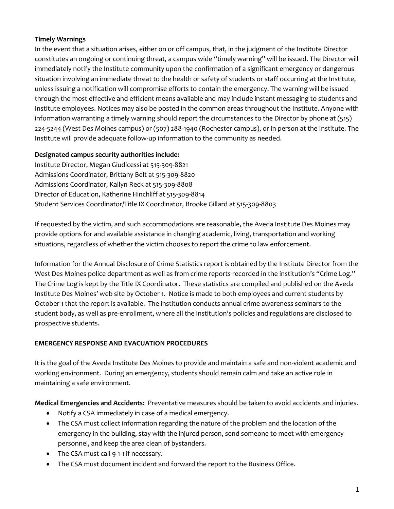# **Timely Warnings**

In the event that a situation arises, either on or off campus, that, in the judgment of the Institute Director constitutes an ongoing or continuing threat, a campus wide "timely warning" will be issued. The Director will immediately notify the Institute community upon the confirmation of a significant emergency or dangerous situation involving an immediate threat to the health or safety of students or staff occurring at the Institute, unless issuing a notification will compromise efforts to contain the emergency. The warning will be issued through the most effective and efficient means available and may include instant messaging to students and Institute employees. Notices may also be posted in the common areas throughout the Institute. Anyone with information warranting a timely warning should report the circumstances to the Director by phone at (515) 224-5244 (West Des Moines campus) or (507) 288-1940 (Rochester campus), or in person at the Institute. The Institute will provide adequate follow-up information to the community as needed.

# **Designated campus security authorities include:**

Institute Director, Megan Giudicessi at 515-309-8821 Admissions Coordinator, Brittany Belt at 515-309-8820 Admissions Coordinator, Kallyn Reck at 515-309-8808 Director of Education, Katherine Hinchliff at 515-309-8814 Student Services Coordinator/Title IX Coordinator, Brooke Gillard at 515-309-8803

If requested by the victim, and such accommodations are reasonable, the Aveda Institute Des Moines may provide options for and available assistance in changing academic, living, transportation and working situations, regardless of whether the victim chooses to report the crime to law enforcement.

Information for the Annual Disclosure of Crime Statistics report is obtained by the Institute Director from the West Des Moines police department as well as from crime reports recorded in the institution's "Crime Log." The Crime Log is kept by the Title IX Coordinator. These statistics are compiled and published on the Aveda Institute Des Moines' web site by October 1. Notice is made to both employees and current students by October 1 that the report is available. The institution conducts annual crime awareness seminars to the student body, as well as pre-enrollment, where all the institution's policies and regulations are disclosed to prospective students.

# **EMERGENCY RESPONSE AND EVACUATION PROCEDURES**

It is the goal of the Aveda Institute Des Moines to provide and maintain a safe and non-violent academic and working environment. During an emergency, students should remain calm and take an active role in maintaining a safe environment.

**Medical Emergencies and Accidents:** Preventative measures should be taken to avoid accidents and injuries.

- Notify a CSA immediately in case of a medical emergency.
- The CSA must collect information regarding the nature of the problem and the location of the emergency in the building, stay with the injured person, send someone to meet with emergency personnel, and keep the area clean of bystanders.
- The CSA must call 9-1-1 if necessary.
- The CSA must document incident and forward the report to the Business Office.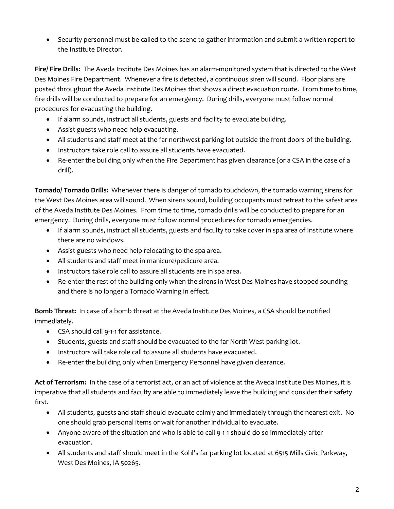• Security personnel must be called to the scene to gather information and submit a written report to the Institute Director.

**Fire/ Fire Drills:** The Aveda Institute Des Moines has an alarm-monitored system that is directed to the West Des Moines Fire Department. Whenever a fire is detected, a continuous siren will sound. Floor plans are posted throughout the Aveda Institute Des Moines that shows a direct evacuation route. From time to time, fire drills will be conducted to prepare for an emergency. During drills, everyone must follow normal procedures for evacuating the building.

- If alarm sounds, instruct all students, guests and facility to evacuate building.
- Assist guests who need help evacuating.
- All students and staff meet at the far northwest parking lot outside the front doors of the building.
- Instructors take role call to assure all students have evacuated.
- Re-enter the building only when the Fire Department has given clearance (or a CSA in the case of a drill).

**Tornado/ Tornado Drills:** Whenever there is danger of tornado touchdown, the tornado warning sirens for the West Des Moines area will sound. When sirens sound, building occupants must retreat to the safest area of the Aveda Institute Des Moines. From time to time, tornado drills will be conducted to prepare for an emergency. During drills, everyone must follow normal procedures for tornado emergencies.

- If alarm sounds, instruct all students, guests and faculty to take cover in spa area of Institute where there are no windows.
- Assist guests who need help relocating to the spa area.
- All students and staff meet in manicure/pedicure area.
- Instructors take role call to assure all students are in spa area.
- Re-enter the rest of the building only when the sirens in West Des Moines have stopped sounding and there is no longer a Tornado Warning in effect.

**Bomb Threat:** In case of a bomb threat at the Aveda Institute Des Moines, a CSA should be notified immediately.

- CSA should call 9-1-1 for assistance.
- Students, guests and staff should be evacuated to the far North West parking lot.
- Instructors will take role call to assure all students have evacuated.
- Re-enter the building only when Emergency Personnel have given clearance.

**Act of Terrorism:** In the case of a terrorist act, or an act of violence at the Aveda Institute Des Moines, it is imperative that all students and faculty are able to immediately leave the building and consider their safety first.

- All students, guests and staff should evacuate calmly and immediately through the nearest exit. No one should grab personal items or wait for another individual to evacuate.
- Anyone aware of the situation and who is able to call 9-1-1 should do so immediately after evacuation.
- All students and staff should meet in the Kohl's far parking lot located at 6515 Mills Civic Parkway, West Des Moines, IA 50265.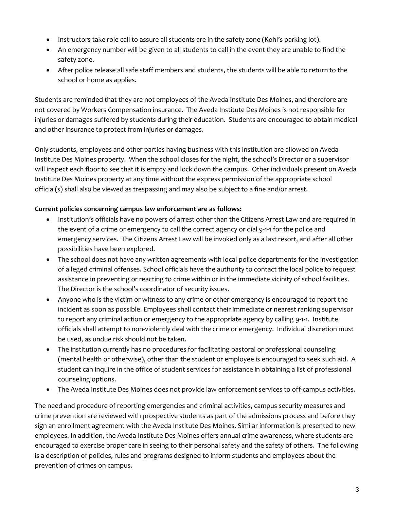- Instructors take role call to assure all students are in the safety zone (Kohl's parking lot).
- An emergency number will be given to all students to call in the event they are unable to find the safety zone.
- After police release all safe staff members and students, the students will be able to return to the school or home as applies.

Students are reminded that they are not employees of the Aveda Institute Des Moines, and therefore are not covered by Workers Compensation insurance. The Aveda Institute Des Moines is not responsible for injuries or damages suffered by students during their education. Students are encouraged to obtain medical and other insurance to protect from injuries or damages.

Only students, employees and other parties having business with this institution are allowed on Aveda Institute Des Moines property. When the school closes for the night, the school's Director or a supervisor will inspect each floor to see that it is empty and lock down the campus. Other individuals present on Aveda Institute Des Moines property at any time without the express permission of the appropriate school official(s) shall also be viewed as trespassing and may also be subject to a fine and/or arrest.

# **Current policies concerning campus law enforcement are as follows:**

- Institution's officials have no powers of arrest other than the Citizens Arrest Law and are required in the event of a crime or emergency to call the correct agency or dial 9-1-1 for the police and emergency services. The Citizens Arrest Law will be invoked only as a last resort, and after all other possibilities have been explored.
- The school does not have any written agreements with local police departments for the investigation of alleged criminal offenses. School officials have the authority to contact the local police to request assistance in preventing or reacting to crime within or in the immediate vicinity of school facilities. The Director is the school's coordinator of security issues.
- Anyone who is the victim or witness to any crime or other emergency is encouraged to report the incident as soon as possible. Employees shall contact their immediate or nearest ranking supervisor to report any criminal action or emergency to the appropriate agency by calling 9-1-1. Institute officials shall attempt to non-violently deal with the crime or emergency. Individual discretion must be used, as undue risk should not be taken.
- The institution currently has no procedures for facilitating pastoral or professional counseling (mental health or otherwise), other than the student or employee is encouraged to seek such aid. A student can inquire in the office of student services for assistance in obtaining a list of professional counseling options.
- The Aveda Institute Des Moines does not provide law enforcement services to off-campus activities.

The need and procedure of reporting emergencies and criminal activities, campus security measures and crime prevention are reviewed with prospective students as part of the admissions process and before they sign an enrollment agreement with the Aveda Institute Des Moines. Similar information is presented to new employees. In addition, the Aveda Institute Des Moines offers annual crime awareness, where students are encouraged to exercise proper care in seeing to their personal safety and the safety of others. The following is a description of policies, rules and programs designed to inform students and employees about the prevention of crimes on campus.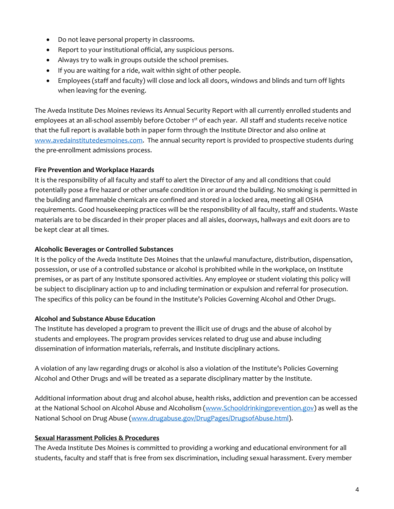- Do not leave personal property in classrooms.
- Report to your institutional official, any suspicious persons.
- Always try to walk in groups outside the school premises.
- If you are waiting for a ride, wait within sight of other people.
- Employees (staff and faculty) will close and lock all doors, windows and blinds and turn off lights when leaving for the evening.

The Aveda Institute Des Moines reviews its Annual Security Report with all currently enrolled students and employees at an all-school assembly before October 1<sup>st</sup> of each year. All staff and students receive notice that the full report is available both in paper form through the Institute Director and also online at [www.avedainstitutedesmoines.com.](http://www.avedainstitutedesmoines.com/) The annual security report is provided to prospective students during the pre-enrollment admissions process.

## **Fire Prevention and Workplace Hazards**

It is the responsibility of all faculty and staff to alert the Director of any and all conditions that could potentially pose a fire hazard or other unsafe condition in or around the building. No smoking is permitted in the building and flammable chemicals are confined and stored in a locked area, meeting all OSHA requirements. Good housekeeping practices will be the responsibility of all faculty, staff and students. Waste materials are to be discarded in their proper places and all aisles, doorways, hallways and exit doors are to be kept clear at all times.

## **Alcoholic Beverages or Controlled Substances**

It is the policy of the Aveda Institute Des Moines that the unlawful manufacture, distribution, dispensation, possession, or use of a controlled substance or alcohol is prohibited while in the workplace, on Institute premises, or as part of any Institute sponsored activities. Any employee or student violating this policy will be subject to disciplinary action up to and including termination or expulsion and referral for prosecution. The specifics of this policy can be found in the Institute's Policies Governing Alcohol and Other Drugs.

#### **Alcohol and Substance Abuse Education**

The Institute has developed a program to prevent the illicit use of drugs and the abuse of alcohol by students and employees. The program provides services related to drug use and abuse including dissemination of information materials, referrals, and Institute disciplinary actions.

A violation of any law regarding drugs or alcohol is also a violation of the Institute's Policies Governing Alcohol and Other Drugs and will be treated as a separate disciplinary matter by the Institute.

Additional information about drug and alcohol abuse, health risks, addiction and prevention can be accessed at the National School on Alcohol Abuse and Alcoholism [\(www.Schooldrinkingprevention.gov\)](http://www.collegedrinkingprevention.gov/) as well as the National School on Drug Abuse [\(www.drugabuse.gov/DrugPages/DrugsofAbuse.html\)](http://www.drugabuse.gov/DrugPages/DrugsofAbuse.html).

## **Sexual Harassment Policies & Procedures**

The Aveda Institute Des Moines is committed to providing a working and educational environment for all students, faculty and staff that is free from sex discrimination, including sexual harassment. Every member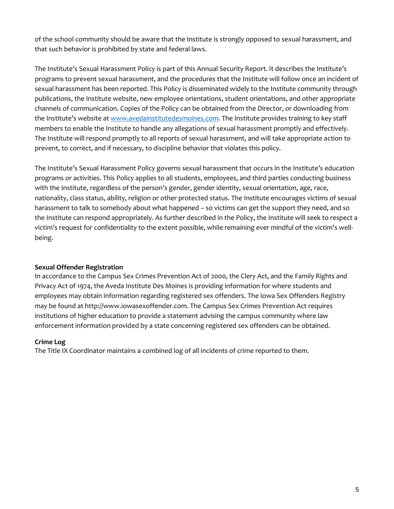of the school community should be aware that the Institute is strongly opposed to sexual harassment, and that such behavior is prohibited by state and federal laws.

The Institute's Sexual Harassment Policy is part of this Annual Security Report. It describes the Institute's programs to prevent sexual harassment, and the procedures that the Institute will follow once an incident of sexual harassment has been reported. This Policy is disseminated widely to the Institute community through publications, the Institute website, new employee orientations, student orientations, and other appropriate channels of communication. Copies of the Policy can be obtained from the Director, or downloading from the Institute's website at [www.avedainstitutedesmoines.com.](https://avedainstitutedesmoines.com/) The Institute provides training to key staff members to enable the Institute to handle any allegations of sexual harassment promptly and effectively. The Institute will respond promptly to all reports of sexual harassment, and will take appropriate action to prevent, to correct, and if necessary, to discipline behavior that violates this policy.

The Institute's Sexual Harassment Policy governs sexual harassment that occurs in the Institute's education programs or activities. This Policy applies to all students, employees, and third parties conducting business with the Institute, regardless of the person's gender, gender identity, sexual orientation, age, race, nationality, class status, ability, religion or other protected status. The Institute encourages victims of sexual harassment to talk to somebody about what happened – so victims can get the support they need, and so the Institute can respond appropriately. As further described in the Policy, the Institute will seek to respect a victim's request for confidentiality to the extent possible, while remaining ever mindful of the victim's wellbeing.

## **Sexual Offender Registration**

In accordance to the Campus Sex Crimes Prevention Act of 2000, the Clery Act, and the Family Rights and Privacy Act of 1974, the Aveda Institute Des Moines is providing information for where students and employees may obtain information regarding registered sex offenders. The Iowa Sex Offenders Registry may be found at http://www.iowasexoffender.com. The Campus Sex Crimes Prevention Act requires institutions of higher education to provide a statement advising the campus community where law enforcement information provided by a state concerning registered sex offenders can be obtained.

#### **Crime Log**

The Title IX Coordinator maintains a combined log of all incidents of crime reported to them.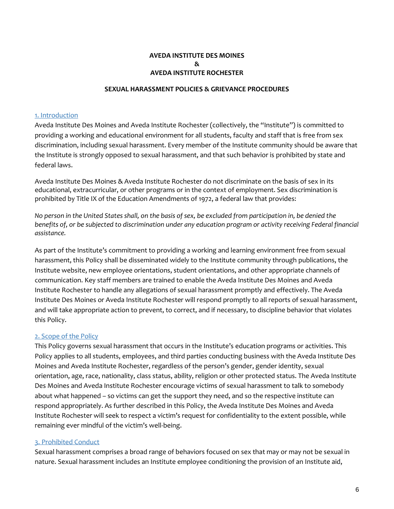# **AVEDA INSTITUTE DES MOINES & AVEDA INSTITUTE ROCHESTER**

#### **SEXUAL HARASSMENT POLICIES & GRIEVANCE PROCEDURES**

#### 1. Introduction

Aveda Institute Des Moines and Aveda Institute Rochester (collectively, the "Institute") is committed to providing a working and educational environment for all students, faculty and staff that is free from sex discrimination, including sexual harassment. Every member of the Institute community should be aware that the Institute is strongly opposed to sexual harassment, and that such behavior is prohibited by state and federal laws.

Aveda Institute Des Moines & Aveda Institute Rochester do not discriminate on the basis of sex in its educational, extracurricular, or other programs or in the context of employment. Sex discrimination is prohibited by Title IX of the Education Amendments of 1972, a federal law that provides:

*No person in the United States shall, on the basis of sex, be excluded from participation in, be denied the benefits of, or be subjected to discrimination under any education program or activity receiving Federal financial assistance.*

As part of the Institute's commitment to providing a working and learning environment free from sexual harassment, this Policy shall be disseminated widely to the Institute community through publications, the Institute website, new employee orientations, student orientations, and other appropriate channels of communication. Key staff members are trained to enable the Aveda Institute Des Moines and Aveda Institute Rochester to handle any allegations of sexual harassment promptly and effectively. The Aveda Institute Des Moines or Aveda Institute Rochester will respond promptly to all reports of sexual harassment, and will take appropriate action to prevent, to correct, and if necessary, to discipline behavior that violates this Policy.

#### 2. Scope of the Policy

This Policy governs sexual harassment that occurs in the Institute's education programs or activities. This Policy applies to all students, employees, and third parties conducting business with the Aveda Institute Des Moines and Aveda Institute Rochester, regardless of the person's gender, gender identity, sexual orientation, age, race, nationality, class status, ability, religion or other protected status. The Aveda Institute Des Moines and Aveda Institute Rochester encourage victims of sexual harassment to talk to somebody about what happened – so victims can get the support they need, and so the respective institute can respond appropriately. As further described in this Policy, the Aveda Institute Des Moines and Aveda Institute Rochester will seek to respect a victim's request for confidentiality to the extent possible, while remaining ever mindful of the victim's well-being.

#### 3. Prohibited Conduct

Sexual harassment comprises a broad range of behaviors focused on sex that may or may not be sexual in nature. Sexual harassment includes an Institute employee conditioning the provision of an Institute aid,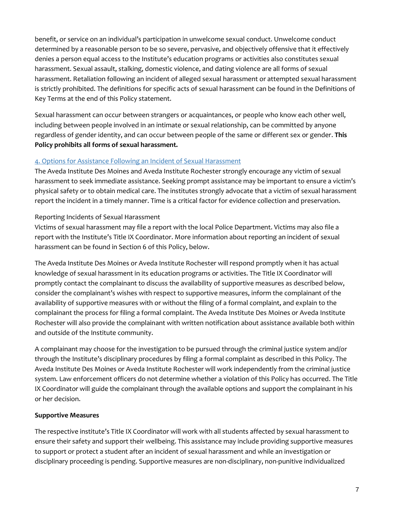benefit, or service on an individual's participation in unwelcome sexual conduct. Unwelcome conduct determined by a reasonable person to be so severe, pervasive, and objectively offensive that it effectively denies a person equal access to the Institute's education programs or activities also constitutes sexual harassment. Sexual assault, stalking, domestic violence, and dating violence are all forms of sexual harassment. Retaliation following an incident of alleged sexual harassment or attempted sexual harassment is strictly prohibited. The definitions for specific acts of sexual harassment can be found in the Definitions of Key Terms at the end of this Policy statement.

Sexual harassment can occur between strangers or acquaintances, or people who know each other well, including between people involved in an intimate or sexual relationship, can be committed by anyone regardless of gender identity, and can occur between people of the same or different sex or gender. **This Policy prohibits all forms of sexual harassment.** 

# 4. Options for Assistance Following an Incident of Sexual Harassment

The Aveda Institute Des Moines and Aveda Institute Rochester strongly encourage any victim of sexual harassment to seek immediate assistance. Seeking prompt assistance may be important to ensure a victim's physical safety or to obtain medical care. The institutes strongly advocate that a victim of sexual harassment report the incident in a timely manner. Time is a critical factor for evidence collection and preservation.

# Reporting Incidents of Sexual Harassment

Victims of sexual harassment may file a report with the local Police Department. Victims may also file a report with the Institute's Title IX Coordinator. More information about reporting an incident of sexual harassment can be found in Section 6 of this Policy, below.

The Aveda Institute Des Moines or Aveda Institute Rochester will respond promptly when it has actual knowledge of sexual harassment in its education programs or activities. The Title IX Coordinator will promptly contact the complainant to discuss the availability of supportive measures as described below, consider the complainant's wishes with respect to supportive measures, inform the complainant of the availability of supportive measures with or without the filing of a formal complaint, and explain to the complainant the process for filing a formal complaint. The Aveda Institute Des Moines or Aveda Institute Rochester will also provide the complainant with written notification about assistance available both within and outside of the Institute community.

A complainant may choose for the investigation to be pursued through the criminal justice system and/or through the Institute's disciplinary procedures by filing a formal complaint as described in this Policy. The Aveda Institute Des Moines or Aveda Institute Rochester will work independently from the criminal justice system. Law enforcement officers do not determine whether a violation of this Policy has occurred. The Title IX Coordinator will guide the complainant through the available options and support the complainant in his or her decision.

# **Supportive Measures**

The respective institute's Title IX Coordinator will work with all students affected by sexual harassment to ensure their safety and support their wellbeing. This assistance may include providing supportive measures to support or protect a student after an incident of sexual harassment and while an investigation or disciplinary proceeding is pending. Supportive measures are non-disciplinary, non-punitive individualized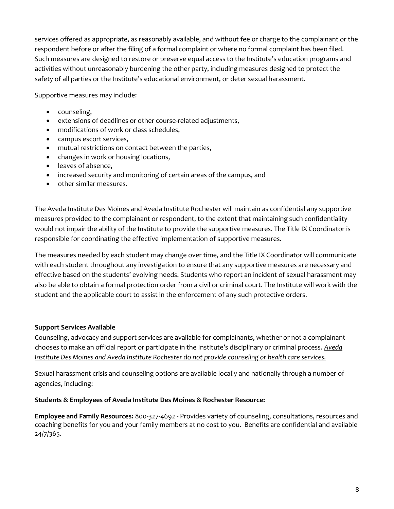services offered as appropriate, as reasonably available, and without fee or charge to the complainant or the respondent before or after the filing of a formal complaint or where no formal complaint has been filed. Such measures are designed to restore or preserve equal access to the Institute's education programs and activities without unreasonably burdening the other party, including measures designed to protect the safety of all parties or the Institute's educational environment, or deter sexual harassment.

Supportive measures may include:

- counseling,
- extensions of deadlines or other course-related adjustments,
- modifications of work or class schedules,
- campus escort services,
- mutual restrictions on contact between the parties,
- changes in work or housing locations,
- leaves of absence,
- increased security and monitoring of certain areas of the campus, and
- other similar measures.

The Aveda Institute Des Moines and Aveda Institute Rochester will maintain as confidential any supportive measures provided to the complainant or respondent, to the extent that maintaining such confidentiality would not impair the ability of the Institute to provide the supportive measures. The Title IX Coordinator is responsible for coordinating the effective implementation of supportive measures.

The measures needed by each student may change over time, and the Title IX Coordinator will communicate with each student throughout any investigation to ensure that any supportive measures are necessary and effective based on the students' evolving needs. Students who report an incident of sexual harassment may also be able to obtain a formal protection order from a civil or criminal court. The Institute will work with the student and the applicable court to assist in the enforcement of any such protective orders.

## **Support Services Available**

Counseling, advocacy and support services are available for complainants, whether or not a complainant chooses to make an official report or participate in the Institute's disciplinary or criminal process. *Aveda Institute Des Moines and Aveda Institute Rochester do not provide counseling or health care services.* 

Sexual harassment crisis and counseling options are available locally and nationally through a number of agencies, including:

## **Students & Employees of Aveda Institute Des Moines & Rochester Resource:**

**Employee and Family Resources:** 800-327-4692 - Provides variety of counseling, consultations, resources and coaching benefits for you and your family members at no cost to you. Benefits are confidential and available 24/7/365.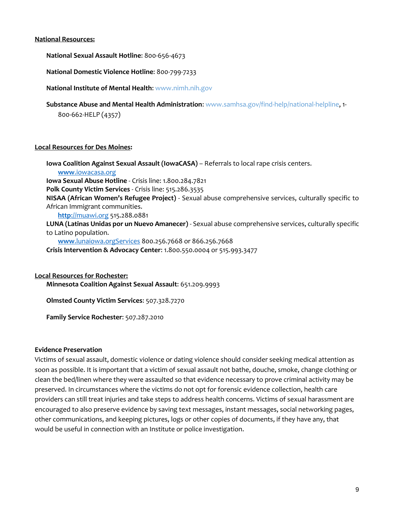#### **National Resources:**

**National Sexual Assault Hotline**: 800-656-4673

**National Domestic Violence Hotline**: 800-799-7233

**National Institute of Mental Health**[: www.nimh.nih.gov](http://www.nimh.nih.gov/)

**Substance Abuse and Mental Health Administration**[: www.samhsa.gov/find-help/national-helpline,](https://www.samhsa.gov/find-help/national-helpline) 1- 800-662-HELP (4357)

#### **Local Resources for Des Moines:**

**Iowa Coalition Against Sexual Assault (IowaCASA)** – Referrals to local rape crisis centers. **www**[.iowacasa.org](http://www.iowacasa.org/) **Iowa Sexual Abuse Hotline** - Crisis line: 1.800.284.7821 **Polk County Victim Services** - Crisis line: 515.286.3535 **NISAA (African Women's Refugee Project)** - Sexual abuse comprehensive services, culturally specific to African Immigrant communities. **http**[://muawi.org](http://muawi.org/) 515.288.0881 **LUNA (Latinas Unidas por un Nuevo Amanecer)** - Sexual abuse comprehensive services, culturally specific to Latino population. **www**[.lunaiowa.orgServices](http://www.lunaiowa.orgservices/) 800.256.7668 or 866.256.7668 **Crisis Intervention & Advocacy Center**: 1.800.550.0004 or 515.993.3477

### **Local Resources for Rochester:**

**Minnesota Coalition Against Sexual Assault**: 651.209.9993

**Olmsted County Victim Services**: 507.328.7270

**Family Service Rochester**: 507.287.2010

#### **Evidence Preservation**

Victims of sexual assault, domestic violence or dating violence should consider seeking medical attention as soon as possible. It is important that a victim of sexual assault not bathe, douche, smoke, change clothing or clean the bed/linen where they were assaulted so that evidence necessary to prove criminal activity may be preserved. In circumstances where the victims do not opt for forensic evidence collection, health care providers can still treat injuries and take steps to address health concerns. Victims of sexual harassment are encouraged to also preserve evidence by saving text messages, instant messages, social networking pages, other communications, and keeping pictures, logs or other copies of documents, if they have any, that would be useful in connection with an Institute or police investigation.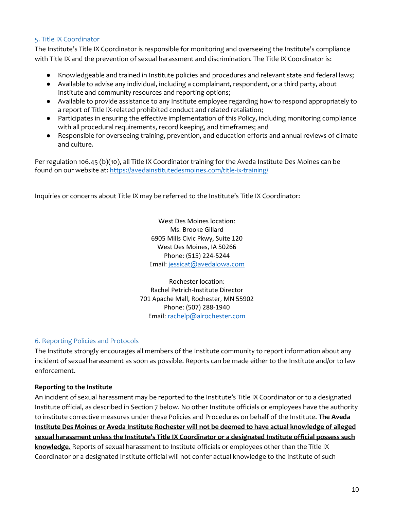## 5. Title IX Coordinator

The Institute's Title IX Coordinator is responsible for monitoring and overseeing the Institute's compliance with Title IX and the prevention of sexual harassment and discrimination. The Title IX Coordinator is:

- Knowledgeable and trained in Institute policies and procedures and relevant state and federal laws;
- Available to advise any individual, including a complainant, respondent, or a third party, about Institute and community resources and reporting options;
- Available to provide assistance to any Institute employee regarding how to respond appropriately to a report of Title IX-related prohibited conduct and related retaliation;
- Participates in ensuring the effective implementation of this Policy, including monitoring compliance with all procedural requirements, record keeping, and timeframes; and
- Responsible for overseeing training, prevention, and education efforts and annual reviews of climate and culture.

Per regulation 106.45 (b)(10), all Title IX Coordinator training for the Aveda Institute Des Moines can be found on our website at[: https://avedainstitutedesmoines.com/title-ix-training/](https://avedainstitutedesmoines.com/title-ix-training/)

Inquiries or concerns about Title IX may be referred to the Institute's Title IX Coordinator:

West Des Moines location: Ms. Brooke Gillard 6905 Mills Civic Pkwy, Suite 120 West Des Moines, IA 50266 Phone: (515) 224-5244 Email: [jessicat@avedaiowa.com](mailto:jessicat@avedaiowa.com)

Rochester location: Rachel Petrich-Institute Director 701 Apache Mall, Rochester, MN 55902 Phone: (507) 288-1940 Email: [rachelp@airochester.com](mailto:rachelp@airochester.com)

# 6. Reporting Policies and Protocols

The Institute strongly encourages all members of the Institute community to report information about any incident of sexual harassment as soon as possible. Reports can be made either to the Institute and/or to law enforcement.

# **Reporting to the Institute**

An incident of sexual harassment may be reported to the Institute's Title IX Coordinator or to a designated Institute official, as described in Section 7 below. No other Institute officials or employees have the authority to institute corrective measures under these Policies and Procedures on behalf of the Institute. **The Aveda Institute Des Moines or Aveda Institute Rochester will not be deemed to have actual knowledge of alleged sexual harassment unless the Institute's Title IX Coordinator or a designated Institute official possess such knowledge.** Reports of sexual harassment to Institute officials or employees other than the Title IX Coordinator or a designated Institute official will not confer actual knowledge to the Institute of such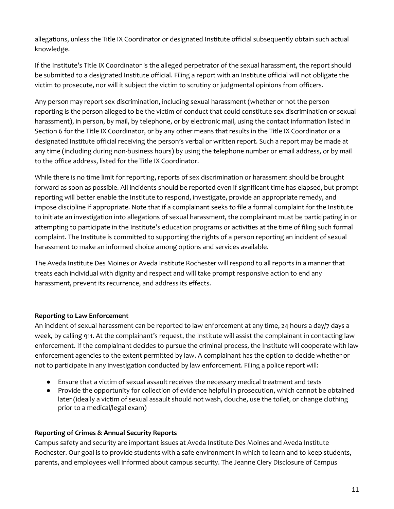allegations, unless the Title IX Coordinator or designated Institute official subsequently obtain such actual knowledge.

If the Institute's Title IX Coordinator is the alleged perpetrator of the sexual harassment, the report should be submitted to a designated Institute official. Filing a report with an Institute official will not obligate the victim to prosecute, nor will it subject the victim to scrutiny or judgmental opinions from officers.

Any person may report sex discrimination, including sexual harassment (whether or not the person reporting is the person alleged to be the victim of conduct that could constitute sex discrimination or sexual harassment), in person, by mail, by telephone, or by electronic mail, using the contact information listed in Section 6 for the Title IX Coordinator, or by any other means that results in the Title IX Coordinator or a designated Institute official receiving the person's verbal or written report. Such a report may be made at any time (including during non-business hours) by using the telephone number or email address, or by mail to the office address, listed for the Title IX Coordinator.

While there is no time limit for reporting, reports of sex discrimination or harassment should be brought forward as soon as possible. All incidents should be reported even if significant time has elapsed, but prompt reporting will better enable the Institute to respond, investigate, provide an appropriate remedy, and impose discipline if appropriate. Note that if a complainant seeks to file a formal complaint for the Institute to initiate an investigation into allegations of sexual harassment, the complainant must be participating in or attempting to participate in the Institute's education programs or activities at the time of filing such formal complaint. The Institute is committed to supporting the rights of a person reporting an incident of sexual harassment to make an informed choice among options and services available.

The Aveda Institute Des Moines or Aveda Institute Rochester will respond to all reports in a manner that treats each individual with dignity and respect and will take prompt responsive action to end any harassment, prevent its recurrence, and address its effects.

# **Reporting to Law Enforcement**

An incident of sexual harassment can be reported to law enforcement at any time, 24 hours a day/7 days a week, by calling 911. At the complainant's request, the Institute will assist the complainant in contacting law enforcement. If the complainant decides to pursue the criminal process, the Institute will cooperate with law enforcement agencies to the extent permitted by law. A complainant has the option to decide whether or not to participate in any investigation conducted by law enforcement. Filing a police report will:

- Ensure that a victim of sexual assault receives the necessary medical treatment and tests
- Provide the opportunity for collection of evidence helpful in prosecution, which cannot be obtained later (ideally a victim of sexual assault should not wash, douche, use the toilet, or change clothing prior to a medical/legal exam)

# **Reporting of Crimes & Annual Security Reports**

Campus safety and security are important issues at Aveda Institute Des Moines and Aveda Institute Rochester. Our goal is to provide students with a safe environment in which to learn and to keep students, parents, and employees well informed about campus security. The Jeanne Clery Disclosure of Campus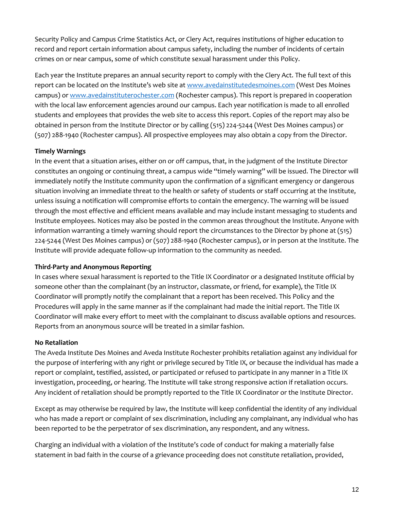Security Policy and Campus Crime Statistics Act, or Clery Act, requires institutions of higher education to record and report certain information about campus safety, including the number of incidents of certain crimes on or near campus, some of which constitute sexual harassment under this Policy.

Each year the Institute prepares an annual security report to comply with the Clery Act. The full text of this report can be located on the Institute's web site at [www.avedainstitutedesmoines.com](https://www.avedainstitutedesmoines.com/) (West Des Moines campus) o[r www.avedainstituterochester.com](https://www.avedainstituterochester.com/) (Rochester campus). This report is prepared in cooperation with the local law enforcement agencies around our campus. Each year notification is made to all enrolled students and employees that provides the web site to access this report. Copies of the report may also be obtained in person from the Institute Director or by calling (515) 224-5244 (West Des Moines campus) or (507) 288-1940 (Rochester campus). All prospective employees may also obtain a copy from the Director.

# **Timely Warnings**

In the event that a situation arises, either on or off campus, that, in the judgment of the Institute Director constitutes an ongoing or continuing threat, a campus wide "timely warning" will be issued. The Director will immediately notify the Institute community upon the confirmation of a significant emergency or dangerous situation involving an immediate threat to the health or safety of students or staff occurring at the Institute, unless issuing a notification will compromise efforts to contain the emergency. The warning will be issued through the most effective and efficient means available and may include instant messaging to students and Institute employees. Notices may also be posted in the common areas throughout the Institute. Anyone with information warranting a timely warning should report the circumstances to the Director by phone at (515) 224-5244 (West Des Moines campus) or (507) 288-1940 (Rochester campus), or in person at the Institute. The Institute will provide adequate follow-up information to the community as needed.

# **Third-Party and Anonymous Reporting**

In cases where sexual harassment is reported to the Title IX Coordinator or a designated Institute official by someone other than the complainant (by an instructor, classmate, or friend, for example), the Title IX Coordinator will promptly notify the complainant that a report has been received. This Policy and the Procedures will apply in the same manner as if the complainant had made the initial report. The Title IX Coordinator will make every effort to meet with the complainant to discuss available options and resources. Reports from an anonymous source will be treated in a similar fashion.

# **No Retaliation**

The Aveda Institute Des Moines and Aveda Institute Rochester prohibits retaliation against any individual for the purpose of interfering with any right or privilege secured by Title IX, or because the individual has made a report or complaint, testified, assisted, or participated or refused to participate in any manner in a Title IX investigation, proceeding, or hearing. The Institute will take strong responsive action if retaliation occurs. Any incident of retaliation should be promptly reported to the Title IX Coordinator or the Institute Director.

Except as may otherwise be required by law, the Institute will keep confidential the identity of any individual who has made a report or complaint of sex discrimination, including any complainant, any individual who has been reported to be the perpetrator of sex discrimination, any respondent, and any witness.

Charging an individual with a violation of the Institute's code of conduct for making a materially false statement in bad faith in the course of a grievance proceeding does not constitute retaliation, provided,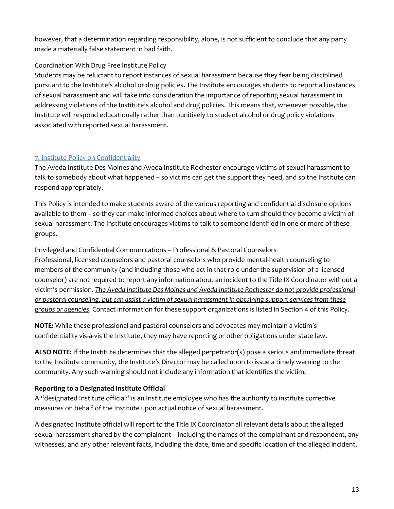however, that a determination regarding responsibility, alone, is not sufficient to conclude that any party made a materially false statement in bad faith.

# Coordination With Drug Free Institute Policy

Students may be reluctant to report instances of sexual harassment because they fear being disciplined pursuant to the Institute's alcohol or drug policies. The Institute encourages students to report all instances of sexual harassment and will take into consideration the importance of reporting sexual harassment in addressing violations of the Institute's alcohol and drug policies. This means that, whenever possible, the Institute will respond educationally rather than punitively to student alcohol or drug policy violations associated with reported sexual harassment.

# 7. Institute Policy on Confidentiality

The Aveda Institute Des Moines and Aveda Institute Rochester encourage victims of sexual harassment to talk to somebody about what happened – so victims can get the support they need, and so the Institute can respond appropriately.

This Policy is intended to make students aware of the various reporting and confidential disclosure options available to them – so they can make informed choices about where to turn should they become a victim of sexual harassment. The Institute encourages victims to talk to someone identified in one or more of these groups.

Privileged and Confidential Communications – Professional & Pastoral Counselors Professional, licensed counselors and pastoral counselors who provide mental-health counseling to members of the community (and including those who act in that role under the supervision of a licensed counselor) are not required to report any information about an incident to the Title IX Coordinator without a victim's permission. *The Aveda Institute Des Moines and Aveda Institute Rochester do not provide professional or pastoral counseling, but can assist a victim of sexual harassment in obtaining support services from these groups or agencies*. Contact information for these support organizations is listed in Section 4 of this Policy.

**NOTE:** While these professional and pastoral counselors and advocates may maintain a victim's confidentiality vis-à-vis the Institute, they may have reporting or other obligations under state law.

**ALSO NOTE:** If the Institute determines that the alleged perpetrator(s) pose a serious and immediate threat to the Institute community, the Institute's Director may be called upon to issue a timely warning to the community. Any such warning should not include any information that identifies the victim.

# **Reporting to a Designated Institute Official**

A "designated Institute official" is an Institute employee who has the authority to institute corrective measures on behalf of the Institute upon actual notice of sexual harassment.

A designated Institute official will report to the Title IX Coordinator all relevant details about the alleged sexual harassment shared by the complainant – including the names of the complainant and respondent, any witnesses, and any other relevant facts, including the date, time and specific location of the alleged incident.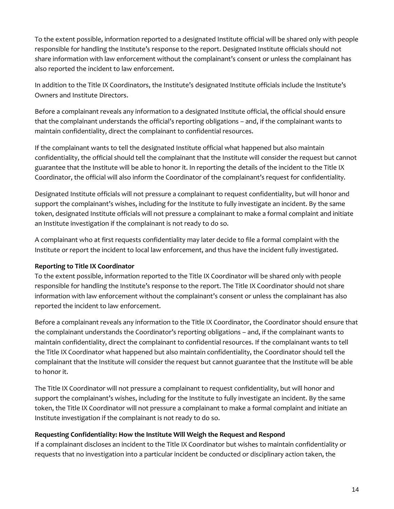To the extent possible, information reported to a designated Institute official will be shared only with people responsible for handling the Institute's response to the report. Designated Institute officials should not share information with law enforcement without the complainant's consent or unless the complainant has also reported the incident to law enforcement.

In addition to the Title IX Coordinators, the Institute's designated Institute officials include the Institute's Owners and Institute Directors.

Before a complainant reveals any information to a designated Institute official, the official should ensure that the complainant understands the official's reporting obligations – and, if the complainant wants to maintain confidentiality, direct the complainant to confidential resources.

If the complainant wants to tell the designated Institute official what happened but also maintain confidentiality, the official should tell the complainant that the Institute will consider the request but cannot guarantee that the Institute will be able to honor it. In reporting the details of the incident to the Title IX Coordinator, the official will also inform the Coordinator of the complainant's request for confidentiality.

Designated Institute officials will not pressure a complainant to request confidentiality, but will honor and support the complainant's wishes, including for the Institute to fully investigate an incident. By the same token, designated Institute officials will not pressure a complainant to make a formal complaint and initiate an Institute investigation if the complainant is not ready to do so.

A complainant who at first requests confidentiality may later decide to file a formal complaint with the Institute or report the incident to local law enforcement, and thus have the incident fully investigated.

# **Reporting to Title IX Coordinator**

To the extent possible, information reported to the Title IX Coordinator will be shared only with people responsible for handling the Institute's response to the report. The Title IX Coordinator should not share information with law enforcement without the complainant's consent or unless the complainant has also reported the incident to law enforcement.

Before a complainant reveals any information to the Title IX Coordinator, the Coordinator should ensure that the complainant understands the Coordinator's reporting obligations – and, if the complainant wants to maintain confidentiality, direct the complainant to confidential resources. If the complainant wants to tell the Title IX Coordinator what happened but also maintain confidentiality, the Coordinator should tell the complainant that the Institute will consider the request but cannot guarantee that the Institute will be able to honor it.

The Title IX Coordinator will not pressure a complainant to request confidentiality, but will honor and support the complainant's wishes, including for the Institute to fully investigate an incident. By the same token, the Title IX Coordinator will not pressure a complainant to make a formal complaint and initiate an Institute investigation if the complainant is not ready to do so.

## **Requesting Confidentiality: How the Institute Will Weigh the Request and Respond**

If a complainant discloses an incident to the Title IX Coordinator but wishes to maintain confidentiality or requests that no investigation into a particular incident be conducted or disciplinary action taken, the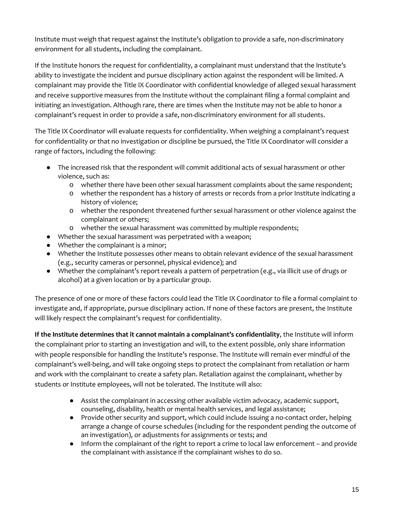Institute must weigh that request against the Institute's obligation to provide a safe, non-discriminatory environment for all students, including the complainant.

If the Institute honors the request for confidentiality, a complainant must understand that the Institute's ability to investigate the incident and pursue disciplinary action against the respondent will be limited. A complainant may provide the Title IX Coordinator with confidential knowledge of alleged sexual harassment and receive supportive measures from the Institute without the complainant filing a formal complaint and initiating an investigation. Although rare, there are times when the Institute may not be able to honor a complainant's request in order to provide a safe, non-discriminatory environment for all students.

The Title IX Coordinator will evaluate requests for confidentiality. When weighing a complainant's request for confidentiality or that no investigation or discipline be pursued, the Title IX Coordinator will consider a range of factors, including the following:

- The increased risk that the respondent will commit additional acts of sexual harassment or other violence, such as:
	- o whether there have been other sexual harassment complaints about the same respondent;
	- o whether the respondent has a history of arrests or records from a prior Institute indicating a history of violence;
	- o whether the respondent threatened further sexual harassment or other violence against the complainant or others;
	- o whether the sexual harassment was committed by multiple respondents;
- Whether the sexual harassment was perpetrated with a weapon;
- Whether the complainant is a minor;
- Whether the Institute possesses other means to obtain relevant evidence of the sexual harassment (e.g., security cameras or personnel, physical evidence); and
- Whether the complainant's report reveals a pattern of perpetration (e.g., via illicit use of drugs or alcohol) at a given location or by a particular group.

The presence of one or more of these factors could lead the Title IX Coordinator to file a formal complaint to investigate and, if appropriate, pursue disciplinary action. If none of these factors are present, the Institute will likely respect the complainant's request for confidentiality.

**If the Institute determines that it cannot maintain a complainant's confidentiality**, the Institute will inform the complainant prior to starting an investigation and will, to the extent possible, only share information with people responsible for handling the Institute's response. The Institute will remain ever mindful of the complainant's well-being, and will take ongoing steps to protect the complainant from retaliation or harm and work with the complainant to create a safety plan. Retaliation against the complainant, whether by students or Institute employees, will not be tolerated. The Institute will also:

- Assist the complainant in accessing other available victim advocacy, academic support, counseling, disability, health or mental health services, and legal assistance;
- Provide other security and support, which could include issuing a no-contact order, helping arrange a change of course schedules (including for the respondent pending the outcome of an investigation), or adjustments for assignments or tests; and
- Inform the complainant of the right to report a crime to local law enforcement and provide the complainant with assistance if the complainant wishes to do so.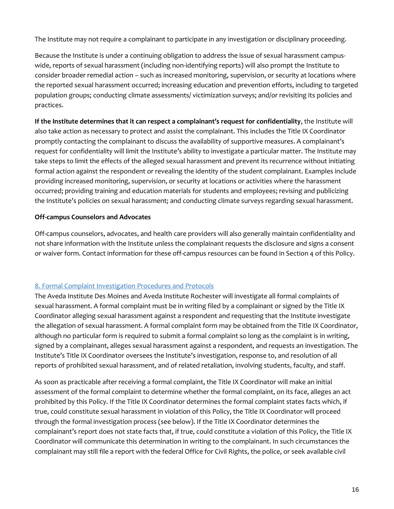The Institute may not require a complainant to participate in any investigation or disciplinary proceeding.

Because the Institute is under a continuing obligation to address the issue of sexual harassment campuswide, reports of sexual harassment (including non-identifying reports) will also prompt the Institute to consider broader remedial action – such as increased monitoring, supervision, or security at locations where the reported sexual harassment occurred; increasing education and prevention efforts, including to targeted population groups; conducting climate assessments/ victimization surveys; and/or revisiting its policies and practices.

**If the Institute determines that it can respect a complainant's request for confidentiality**, the Institute will also take action as necessary to protect and assist the complainant. This includes the Title IX Coordinator promptly contacting the complainant to discuss the availability of supportive measures. A complainant's request for confidentiality will limit the Institute's ability to investigate a particular matter. The Institute may take steps to limit the effects of the alleged sexual harassment and prevent its recurrence without initiating formal action against the respondent or revealing the identity of the student complainant. Examples include providing increased monitoring, supervision, or security at locations or activities where the harassment occurred; providing training and education materials for students and employees; revising and publicizing the Institute's policies on sexual harassment; and conducting climate surveys regarding sexual harassment.

# **Off-campus Counselors and Advocates**

Off-campus counselors, advocates, and health care providers will also generally maintain confidentiality and not share information with the Institute unless the complainant requests the disclosure and signs a consent or waiver form. Contact information for these off-campus resources can be found in Section 4 of this Policy.

# 8. Formal Complaint Investigation Procedures and Protocols

The Aveda Institute Des Moines and Aveda Institute Rochester will investigate all formal complaints of sexual harassment. A formal complaint must be in writing filed by a complainant or signed by the Title IX Coordinator alleging sexual harassment against a respondent and requesting that the Institute investigate the allegation of sexual harassment. A formal complaint form may be obtained from the Title IX Coordinator, although no particular form is required to submit a formal complaint so long as the complaint is in writing, signed by a complainant, alleges sexual harassment against a respondent, and requests an investigation. The Institute's Title IX Coordinator oversees the Institute's investigation, response to, and resolution of all reports of prohibited sexual harassment, and of related retaliation, involving students, faculty, and staff.

As soon as practicable after receiving a formal complaint, the Title IX Coordinator will make an initial assessment of the formal complaint to determine whether the formal complaint, on its face, alleges an act prohibited by this Policy. If the Title IX Coordinator determines the formal complaint states facts which, if true, could constitute sexual harassment in violation of this Policy, the Title IX Coordinator will proceed through the formal investigation process (see below). If the Title IX Coordinator determines the complainant's report does not state facts that, if true, could constitute a violation of this Policy, the Title IX Coordinator will communicate this determination in writing to the complainant. In such circumstances the complainant may still file a report with the federal Office for Civil Rights, the police, or seek available civil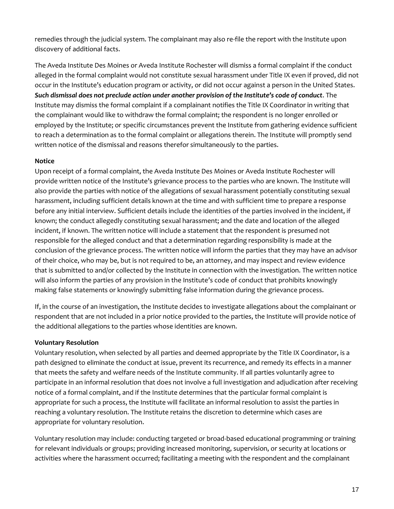remedies through the judicial system. The complainant may also re-file the report with the Institute upon discovery of additional facts.

The Aveda Institute Des Moines or Aveda Institute Rochester will dismiss a formal complaint if the conduct alleged in the formal complaint would not constitute sexual harassment under Title IX even if proved, did not occur in the Institute's education program or activity, or did not occur against a person in the United States. *Such dismissal does not preclude action under another provision of the Institute's code of conduct*. The Institute may dismiss the formal complaint if a complainant notifies the Title IX Coordinator in writing that the complainant would like to withdraw the formal complaint; the respondent is no longer enrolled or employed by the Institute; or specific circumstances prevent the Institute from gathering evidence sufficient to reach a determination as to the formal complaint or allegations therein. The Institute will promptly send written notice of the dismissal and reasons therefor simultaneously to the parties.

# **Notice**

Upon receipt of a formal complaint, the Aveda Institute Des Moines or Aveda Institute Rochester will provide written notice of the Institute's grievance process to the parties who are known. The Institute will also provide the parties with notice of the allegations of sexual harassment potentially constituting sexual harassment, including sufficient details known at the time and with sufficient time to prepare a response before any initial interview. Sufficient details include the identities of the parties involved in the incident, if known; the conduct allegedly constituting sexual harassment; and the date and location of the alleged incident, if known. The written notice will include a statement that the respondent is presumed not responsible for the alleged conduct and that a determination regarding responsibility is made at the conclusion of the grievance process. The written notice will inform the parties that they may have an advisor of their choice, who may be, but is not required to be, an attorney, and may inspect and review evidence that is submitted to and/or collected by the Institute in connection with the investigation. The written notice will also inform the parties of any provision in the Institute's code of conduct that prohibits knowingly making false statements or knowingly submitting false information during the grievance process.

If, in the course of an investigation, the Institute decides to investigate allegations about the complainant or respondent that are not included in a prior notice provided to the parties, the Institute will provide notice of the additional allegations to the parties whose identities are known.

## **Voluntary Resolution**

Voluntary resolution, when selected by all parties and deemed appropriate by the Title IX Coordinator, is a path designed to eliminate the conduct at issue, prevent its recurrence, and remedy its effects in a manner that meets the safety and welfare needs of the Institute community. If all parties voluntarily agree to participate in an informal resolution that does not involve a full investigation and adjudication after receiving notice of a formal complaint, and if the Institute determines that the particular formal complaint is appropriate for such a process, the Institute will facilitate an informal resolution to assist the parties in reaching a voluntary resolution. The Institute retains the discretion to determine which cases are appropriate for voluntary resolution.

Voluntary resolution may include: conducting targeted or broad-based educational programming or training for relevant individuals or groups; providing increased monitoring, supervision, or security at locations or activities where the harassment occurred; facilitating a meeting with the respondent and the complainant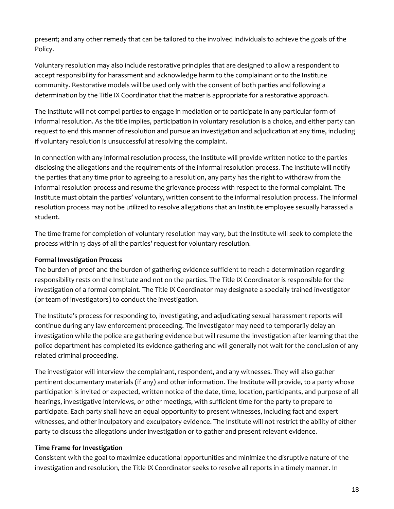present; and any other remedy that can be tailored to the involved individuals to achieve the goals of the Policy.

Voluntary resolution may also include restorative principles that are designed to allow a respondent to accept responsibility for harassment and acknowledge harm to the complainant or to the Institute community. Restorative models will be used only with the consent of both parties and following a determination by the Title IX Coordinator that the matter is appropriate for a restorative approach.

The Institute will not compel parties to engage in mediation or to participate in any particular form of informal resolution. As the title implies, participation in voluntary resolution is a choice, and either party can request to end this manner of resolution and pursue an investigation and adjudication at any time, including if voluntary resolution is unsuccessful at resolving the complaint.

In connection with any informal resolution process, the Institute will provide written notice to the parties disclosing the allegations and the requirements of the informal resolution process. The Institute will notify the parties that any time prior to agreeing to a resolution, any party has the right to withdraw from the informal resolution process and resume the grievance process with respect to the formal complaint. The Institute must obtain the parties' voluntary, written consent to the informal resolution process. The informal resolution process may not be utilized to resolve allegations that an Institute employee sexually harassed a student.

The time frame for completion of voluntary resolution may vary, but the Institute will seek to complete the process within 15 days of all the parties' request for voluntary resolution.

# **Formal Investigation Process**

The burden of proof and the burden of gathering evidence sufficient to reach a determination regarding responsibility rests on the Institute and not on the parties. The Title IX Coordinator is responsible for the investigation of a formal complaint. The Title IX Coordinator may designate a specially trained investigator (or team of investigators) to conduct the investigation.

The Institute's process for responding to, investigating, and adjudicating sexual harassment reports will continue during any law enforcement proceeding. The investigator may need to temporarily delay an investigation while the police are gathering evidence but will resume the investigation after learning that the police department has completed its evidence-gathering and will generally not wait for the conclusion of any related criminal proceeding.

The investigator will interview the complainant, respondent, and any witnesses. They will also gather pertinent documentary materials (if any) and other information. The Institute will provide, to a party whose participation is invited or expected, written notice of the date, time, location, participants, and purpose of all hearings, investigative interviews, or other meetings, with sufficient time for the party to prepare to participate. Each party shall have an equal opportunity to present witnesses, including fact and expert witnesses, and other inculpatory and exculpatory evidence. The Institute will not restrict the ability of either party to discuss the allegations under investigation or to gather and present relevant evidence.

## **Time Frame for Investigation**

Consistent with the goal to maximize educational opportunities and minimize the disruptive nature of the investigation and resolution, the Title IX Coordinator seeks to resolve all reports in a timely manner. In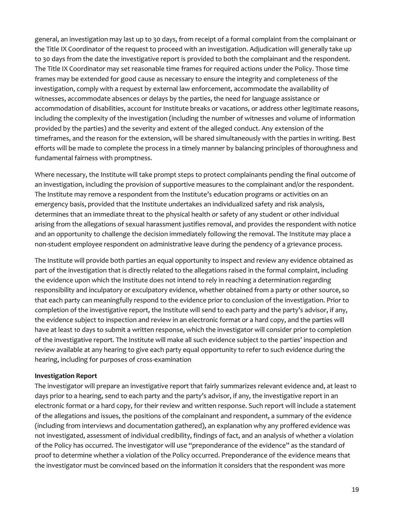general, an investigation may last up to 30 days, from receipt of a formal complaint from the complainant or the Title IX Coordinator of the request to proceed with an investigation. Adjudication will generally take up to 30 days from the date the investigative report is provided to both the complainant and the respondent. The Title IX Coordinator may set reasonable time frames for required actions under the Policy. Those time frames may be extended for good cause as necessary to ensure the integrity and completeness of the investigation, comply with a request by external law enforcement, accommodate the availability of witnesses, accommodate absences or delays by the parties, the need for language assistance or accommodation of disabilities, account for Institute breaks or vacations, or address other legitimate reasons, including the complexity of the investigation (including the number of witnesses and volume of information provided by the parties) and the severity and extent of the alleged conduct. Any extension of the timeframes, and the reason for the extension, will be shared simultaneously with the parties in writing. Best efforts will be made to complete the process in a timely manner by balancing principles of thoroughness and fundamental fairness with promptness.

Where necessary, the Institute will take prompt steps to protect complainants pending the final outcome of an investigation, including the provision of supportive measures to the complainant and/or the respondent. The Institute may remove a respondent from the Institute's education programs or activities on an emergency basis, provided that the Institute undertakes an individualized safety and risk analysis, determines that an immediate threat to the physical health or safety of any student or other individual arising from the allegations of sexual harassment justifies removal, and provides the respondent with notice and an opportunity to challenge the decision immediately following the removal. The Institute may place a non-student employee respondent on administrative leave during the pendency of a grievance process.

The Institute will provide both parties an equal opportunity to inspect and review any evidence obtained as part of the investigation that is directly related to the allegations raised in the formal complaint, including the evidence upon which the Institute does not intend to rely in reaching a determination regarding responsibility and inculpatory or exculpatory evidence, whether obtained from a party or other source, so that each party can meaningfully respond to the evidence prior to conclusion of the investigation. Prior to completion of the investigative report, the Institute will send to each party and the party's advisor, if any, the evidence subject to inspection and review in an electronic format or a hard copy, and the parties will have at least 10 days to submit a written response, which the investigator will consider prior to completion of the investigative report. The Institute will make all such evidence subject to the parties' inspection and review available at any hearing to give each party equal opportunity to refer to such evidence during the hearing, including for purposes of cross-examination

## **Investigation Report**

The investigator will prepare an investigative report that fairly summarizes relevant evidence and, at least 10 days prior to a hearing, send to each party and the party's advisor, if any, the investigative report in an electronic format or a hard copy, for their review and written response. Such report will include a statement of the allegations and issues, the positions of the complainant and respondent, a summary of the evidence (including from interviews and documentation gathered), an explanation why any proffered evidence was not investigated, assessment of individual credibility, findings of fact, and an analysis of whether a violation of the Policy has occurred. The investigator will use "preponderance of the evidence" as the standard of proof to determine whether a violation of the Policy occurred. Preponderance of the evidence means that the investigator must be convinced based on the information it considers that the respondent was more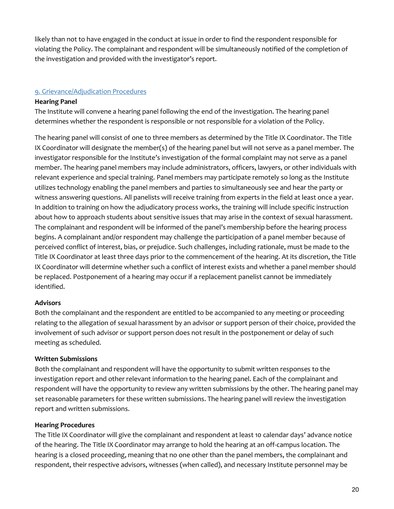likely than not to have engaged in the conduct at issue in order to find the respondent responsible for violating the Policy. The complainant and respondent will be simultaneously notified of the completion of the investigation and provided with the investigator's report.

# 9. Grievance/Adjudication Procedures

## **Hearing Panel**

The Institute will convene a hearing panel following the end of the investigation. The hearing panel determines whether the respondent is responsible or not responsible for a violation of the Policy.

The hearing panel will consist of one to three members as determined by the Title IX Coordinator. The Title IX Coordinator will designate the member(s) of the hearing panel but will not serve as a panel member. The investigator responsible for the Institute's investigation of the formal complaint may not serve as a panel member. The hearing panel members may include administrators, officers, lawyers, or other individuals with relevant experience and special training. Panel members may participate remotely so long as the Institute utilizes technology enabling the panel members and parties to simultaneously see and hear the party or witness answering questions. All panelists will receive training from experts in the field at least once a year. In addition to training on how the adjudicatory process works, the training will include specific instruction about how to approach students about sensitive issues that may arise in the context of sexual harassment. The complainant and respondent will be informed of the panel's membership before the hearing process begins. A complainant and/or respondent may challenge the participation of a panel member because of perceived conflict of interest, bias, or prejudice. Such challenges, including rationale, must be made to the Title IX Coordinator at least three days prior to the commencement of the hearing. At its discretion, the Title IX Coordinator will determine whether such a conflict of interest exists and whether a panel member should be replaced. Postponement of a hearing may occur if a replacement panelist cannot be immediately identified.

## **Advisors**

Both the complainant and the respondent are entitled to be accompanied to any meeting or proceeding relating to the allegation of sexual harassment by an advisor or support person of their choice, provided the involvement of such advisor or support person does not result in the postponement or delay of such meeting as scheduled.

## **Written Submissions**

Both the complainant and respondent will have the opportunity to submit written responses to the investigation report and other relevant information to the hearing panel. Each of the complainant and respondent will have the opportunity to review any written submissions by the other. The hearing panel may set reasonable parameters for these written submissions. The hearing panel will review the investigation report and written submissions.

#### **Hearing Procedures**

The Title IX Coordinator will give the complainant and respondent at least 10 calendar days' advance notice of the hearing. The Title IX Coordinator may arrange to hold the hearing at an off-campus location. The hearing is a closed proceeding, meaning that no one other than the panel members, the complainant and respondent, their respective advisors, witnesses (when called), and necessary Institute personnel may be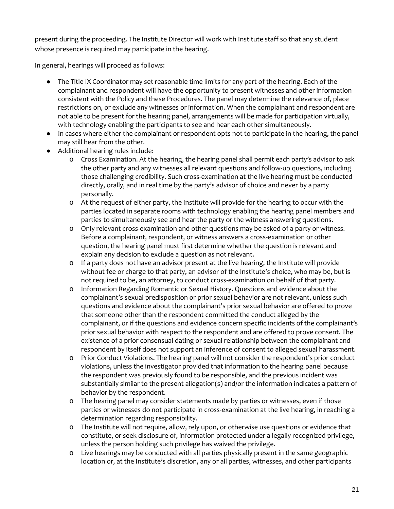present during the proceeding. The Institute Director will work with Institute staff so that any student whose presence is required may participate in the hearing.

In general, hearings will proceed as follows:

- The Title IX Coordinator may set reasonable time limits for any part of the hearing. Each of the complainant and respondent will have the opportunity to present witnesses and other information consistent with the Policy and these Procedures. The panel may determine the relevance of, place restrictions on, or exclude any witnesses or information. When the complainant and respondent are not able to be present for the hearing panel, arrangements will be made for participation virtually, with technology enabling the participants to see and hear each other simultaneously.
- In cases where either the complainant or respondent opts not to participate in the hearing, the panel may still hear from the other.
- Additional hearing rules include:
	- o Cross Examination. At the hearing, the hearing panel shall permit each party's advisor to ask the other party and any witnesses all relevant questions and follow-up questions, including those challenging credibility. Such cross-examination at the live hearing must be conducted directly, orally, and in real time by the party's advisor of choice and never by a party personally.
	- o At the request of either party, the Institute will provide for the hearing to occur with the parties located in separate rooms with technology enabling the hearing panel members and parties to simultaneously see and hear the party or the witness answering questions.
	- o Only relevant cross-examination and other questions may be asked of a party or witness. Before a complainant, respondent, or witness answers a cross-examination or other question, the hearing panel must first determine whether the question is relevant and explain any decision to exclude a question as not relevant.
	- o If a party does not have an advisor present at the live hearing, the Institute will provide without fee or charge to that party, an advisor of the Institute's choice, who may be, but is not required to be, an attorney, to conduct cross-examination on behalf of that party.
	- o Information Regarding Romantic or Sexual History. Questions and evidence about the complainant's sexual predisposition or prior sexual behavior are not relevant, unless such questions and evidence about the complainant's prior sexual behavior are offered to prove that someone other than the respondent committed the conduct alleged by the complainant, or if the questions and evidence concern specific incidents of the complainant's prior sexual behavior with respect to the respondent and are offered to prove consent. The existence of a prior consensual dating or sexual relationship between the complainant and respondent by itself does not support an inference of consent to alleged sexual harassment.
	- o Prior Conduct Violations. The hearing panel will not consider the respondent's prior conduct violations, unless the investigator provided that information to the hearing panel because the respondent was previously found to be responsible, and the previous incident was substantially similar to the present allegation(s) and/or the information indicates a pattern of behavior by the respondent.
	- o The hearing panel may consider statements made by parties or witnesses, even if those parties or witnesses do not participate in cross-examination at the live hearing, in reaching a determination regarding responsibility.
	- o The Institute will not require, allow, rely upon, or otherwise use questions or evidence that constitute, or seek disclosure of, information protected under a legally recognized privilege, unless the person holding such privilege has waived the privilege.
	- o Live hearings may be conducted with all parties physically present in the same geographic location or, at the Institute's discretion, any or all parties, witnesses, and other participants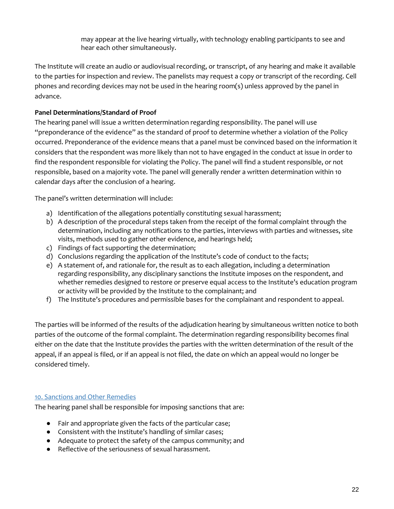may appear at the live hearing virtually, with technology enabling participants to see and hear each other simultaneously.

The Institute will create an audio or audiovisual recording, or transcript, of any hearing and make it available to the parties for inspection and review. The panelists may request a copy or transcript of the recording. Cell phones and recording devices may not be used in the hearing room(s) unless approved by the panel in advance.

# **Panel Determinations/Standard of Proof**

The hearing panel will issue a written determination regarding responsibility. The panel will use "preponderance of the evidence" as the standard of proof to determine whether a violation of the Policy occurred. Preponderance of the evidence means that a panel must be convinced based on the information it considers that the respondent was more likely than not to have engaged in the conduct at issue in order to find the respondent responsible for violating the Policy. The panel will find a student responsible, or not responsible, based on a majority vote. The panel will generally render a written determination within 10 calendar days after the conclusion of a hearing.

The panel's written determination will include:

- a) Identification of the allegations potentially constituting sexual harassment;
- b) A description of the procedural steps taken from the receipt of the formal complaint through the determination, including any notifications to the parties, interviews with parties and witnesses, site visits, methods used to gather other evidence, and hearings held;
- c) Findings of fact supporting the determination;
- d) Conclusions regarding the application of the Institute's code of conduct to the facts;
- e) A statement of, and rationale for, the result as to each allegation, including a determination regarding responsibility, any disciplinary sanctions the Institute imposes on the respondent, and whether remedies designed to restore or preserve equal access to the Institute's education program or activity will be provided by the Institute to the complainant; and
- f) The Institute's procedures and permissible bases for the complainant and respondent to appeal.

The parties will be informed of the results of the adjudication hearing by simultaneous written notice to both parties of the outcome of the formal complaint. The determination regarding responsibility becomes final either on the date that the Institute provides the parties with the written determination of the result of the appeal, if an appeal is filed, or if an appeal is not filed, the date on which an appeal would no longer be considered timely.

## 10. Sanctions and Other Remedies

The hearing panel shall be responsible for imposing sanctions that are:

- Fair and appropriate given the facts of the particular case;
- Consistent with the Institute's handling of similar cases;
- Adequate to protect the safety of the campus community; and
- Reflective of the seriousness of sexual harassment.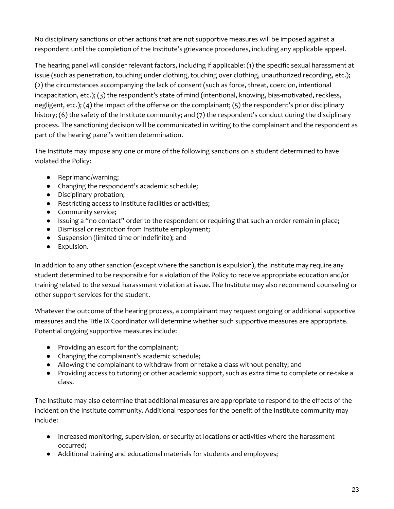No disciplinary sanctions or other actions that are not supportive measures will be imposed against a respondent until the completion of the Institute's grievance procedures, including any applicable appeal.

The hearing panel will consider relevant factors, including if applicable: (1) the specific sexual harassment at issue (such as penetration, touching under clothing, touching over clothing, unauthorized recording, etc.); (2) the circumstances accompanying the lack of consent (such as force, threat, coercion, intentional incapacitation, etc.); (3) the respondent's state of mind (intentional, knowing, bias-motivated, reckless, negligent, etc.); (4) the impact of the offense on the complainant; (5) the respondent's prior disciplinary history; (6) the safety of the Institute community; and (7) the respondent's conduct during the disciplinary process. The sanctioning decision will be communicated in writing to the complainant and the respondent as part of the hearing panel's written determination.

The Institute may impose any one or more of the following sanctions on a student determined to have violated the Policy:

- Reprimand/warning;
- Changing the respondent's academic schedule;
- Disciplinary probation;
- Restricting access to Institute facilities or activities;
- Community service;
- Issuing a "no contact" order to the respondent or requiring that such an order remain in place;
- Dismissal or restriction from Institute employment;
- Suspension (limited time or indefinite); and
- Expulsion.

In addition to any other sanction (except where the sanction is expulsion), the Institute may require any student determined to be responsible for a violation of the Policy to receive appropriate education and/or training related to the sexual harassment violation at issue. The Institute may also recommend counseling or other support services for the student.

Whatever the outcome of the hearing process, a complainant may request ongoing or additional supportive measures and the Title IX Coordinator will determine whether such supportive measures are appropriate. Potential ongoing supportive measures include:

- Providing an escort for the complainant;
- Changing the complainant's academic schedule;
- Allowing the complainant to withdraw from or retake a class without penalty; and
- Providing access to tutoring or other academic support, such as extra time to complete or re-take a class.

The Institute may also determine that additional measures are appropriate to respond to the effects of the incident on the Institute community. Additional responses for the benefit of the Institute community may include:

- Increased monitoring, supervision, or security at locations or activities where the harassment occurred;
- Additional training and educational materials for students and employees;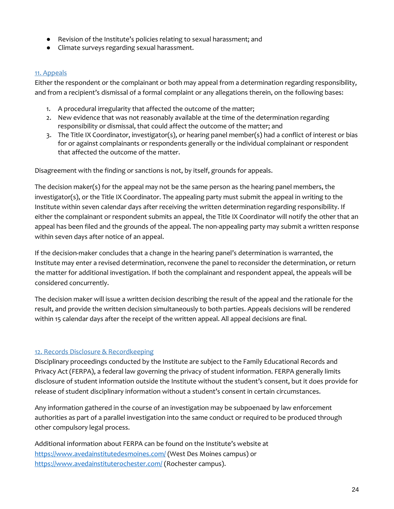- Revision of the Institute's policies relating to sexual harassment; and
- Climate surveys regarding sexual harassment.

# 11. Appeals

Either the respondent or the complainant or both may appeal from a determination regarding responsibility, and from a recipient's dismissal of a formal complaint or any allegations therein, on the following bases:

- 1. A procedural irregularity that affected the outcome of the matter;
- 2. New evidence that was not reasonably available at the time of the determination regarding responsibility or dismissal, that could affect the outcome of the matter; and
- 3. The Title IX Coordinator, investigator(s), or hearing panel member(s) had a conflict of interest or bias for or against complainants or respondents generally or the individual complainant or respondent that affected the outcome of the matter.

Disagreement with the finding or sanctions is not, by itself, grounds for appeals.

The decision maker(s) for the appeal may not be the same person as the hearing panel members, the investigator(s), or the Title IX Coordinator. The appealing party must submit the appeal in writing to the Institute within seven calendar days after receiving the written determination regarding responsibility. If either the complainant or respondent submits an appeal, the Title IX Coordinator will notify the other that an appeal has been filed and the grounds of the appeal. The non-appealing party may submit a written response within seven days after notice of an appeal.

If the decision-maker concludes that a change in the hearing panel's determination is warranted, the Institute may enter a revised determination, reconvene the panel to reconsider the determination, or return the matter for additional investigation. If both the complainant and respondent appeal, the appeals will be considered concurrently.

The decision maker will issue a written decision describing the result of the appeal and the rationale for the result, and provide the written decision simultaneously to both parties. Appeals decisions will be rendered within 15 calendar days after the receipt of the written appeal. All appeal decisions are final.

# 12. Records Disclosure & Recordkeeping

Disciplinary proceedings conducted by the Institute are subject to the Family Educational Records and Privacy Act (FERPA), a federal law governing the privacy of student information. FERPA generally limits disclosure of student information outside the Institute without the student's consent, but it does provide for release of student disciplinary information without a student's consent in certain circumstances.

Any information gathered in the course of an investigation may be subpoenaed by law enforcement authorities as part of a parallel investigation into the same conduct or required to be produced through other compulsory legal process.

Additional information about FERPA can be found on the Institute's website at <https://www.avedainstitutedesmoines.com/> (West Des Moines campus) or <https://www.avedainstituterochester.com/> (Rochester campus).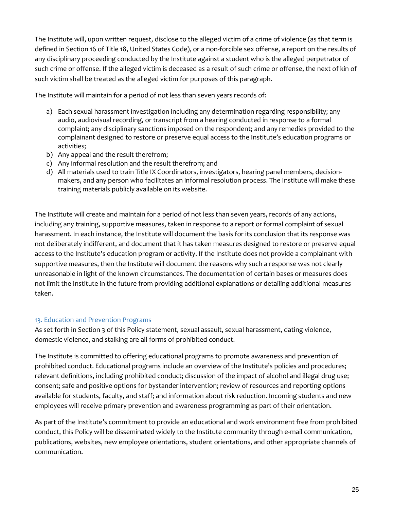The Institute will, upon written request, disclose to the alleged victim of a crime of violence (as that term is defined in Section 16 of Title 18, United States Code), or a non-forcible sex offense, a report on the results of any disciplinary proceeding conducted by the Institute against a student who is the alleged perpetrator of such crime or offense. If the alleged victim is deceased as a result of such crime or offense, the next of kin of such victim shall be treated as the alleged victim for purposes of this paragraph.

The Institute will maintain for a period of not less than seven years records of:

- a) Each sexual harassment investigation including any determination regarding responsibility; any audio, audiovisual recording, or transcript from a hearing conducted in response to a formal complaint; any disciplinary sanctions imposed on the respondent; and any remedies provided to the complainant designed to restore or preserve equal access to the Institute's education programs or activities;
- b) Any appeal and the result therefrom;
- c) Any informal resolution and the result therefrom; and
- d) All materials used to train Title IX Coordinators, investigators, hearing panel members, decisionmakers, and any person who facilitates an informal resolution process. The Institute will make these training materials publicly available on its website.

The Institute will create and maintain for a period of not less than seven years, records of any actions, including any training, supportive measures, taken in response to a report or formal complaint of sexual harassment. In each instance, the Institute will document the basis for its conclusion that its response was not deliberately indifferent, and document that it has taken measures designed to restore or preserve equal access to the Institute's education program or activity. If the Institute does not provide a complainant with supportive measures, then the Institute will document the reasons why such a response was not clearly unreasonable in light of the known circumstances. The documentation of certain bases or measures does not limit the Institute in the future from providing additional explanations or detailing additional measures taken.

# 13. Education and Prevention Programs

As set forth in Section 3 of this Policy statement, sexual assault, sexual harassment, dating violence, domestic violence, and stalking are all forms of prohibited conduct.

The Institute is committed to offering educational programs to promote awareness and prevention of prohibited conduct. Educational programs include an overview of the Institute's policies and procedures; relevant definitions, including prohibited conduct; discussion of the impact of alcohol and illegal drug use; consent; safe and positive options for bystander intervention; review of resources and reporting options available for students, faculty, and staff; and information about risk reduction. Incoming students and new employees will receive primary prevention and awareness programming as part of their orientation.

As part of the Institute's commitment to provide an educational and work environment free from prohibited conduct, this Policy will be disseminated widely to the Institute community through e-mail communication, publications, websites, new employee orientations, student orientations, and other appropriate channels of communication.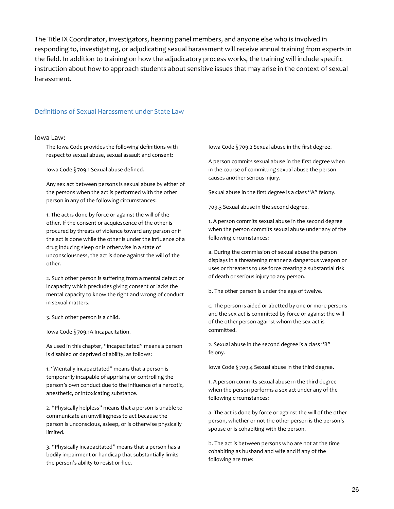The Title IX Coordinator, investigators, hearing panel members, and anyone else who is involved in responding to, investigating, or adjudicating sexual harassment will receive annual training from experts in the field. In addition to training on how the adjudicatory process works, the training will include specific instruction about how to approach students about sensitive issues that may arise in the context of sexual harassment.

#### Definitions of Sexual Harassment under State Law

#### Iowa Law:

The Iowa Code provides the following definitions with respect to sexual abuse, sexual assault and consent:

Iowa Code § 709.1 Sexual abuse defined.

Any sex act between persons is sexual abuse by either of the persons when the act is performed with the other person in any of the following circumstances:

1. The act is done by force or against the will of the other. If the consent or acquiescence of the other is procured by threats of violence toward any person or if the act is done while the other is under the influence of a drug inducing sleep or is otherwise in a state of unconsciousness, the act is done against the will of the other.

2. Such other person is suffering from a mental defect or incapacity which precludes giving consent or lacks the mental capacity to know the right and wrong of conduct in sexual matters.

3. Such other person is a child.

Iowa Code § 709.1A Incapacitation.

As used in this chapter, "incapacitated" means a person is disabled or deprived of ability, as follows:

1. "Mentally incapacitated" means that a person is temporarily incapable of apprising or controlling the person's own conduct due to the influence of a narcotic, anesthetic, or intoxicating substance.

2. "Physically helpless" means that a person is unable to communicate an unwillingness to act because the person is unconscious, asleep, or is otherwise physically limited.

3. "Physically incapacitated" means that a person has a bodily impairment or handicap that substantially limits the person's ability to resist or flee.

Iowa Code § 709.2 Sexual abuse in the first degree.

A person commits sexual abuse in the first degree when in the course of committing sexual abuse the person causes another serious injury.

Sexual abuse in the first degree is a class "A" felony.

709.3 Sexual abuse in the second degree.

1. A person commits sexual abuse in the second degree when the person commits sexual abuse under any of the following circumstances:

a. During the commission of sexual abuse the person displays in a threatening manner a dangerous weapon or uses or threatens to use force creating a substantial risk of death or serious injury to any person.

b. The other person is under the age of twelve.

c. The person is aided or abetted by one or more persons and the sex act is committed by force or against the will of the other person against whom the sex act is committed.

2. Sexual abuse in the second degree is a class "B" felony.

Iowa Code § 709.4 Sexual abuse in the third degree.

1. A person commits sexual abuse in the third degree when the person performs a sex act under any of the following circumstances:

a. The act is done by force or against the will of the other person, whether or not the other person is the person's spouse or is cohabiting with the person.

b. The act is between persons who are not at the time cohabiting as husband and wife and if any of the following are true: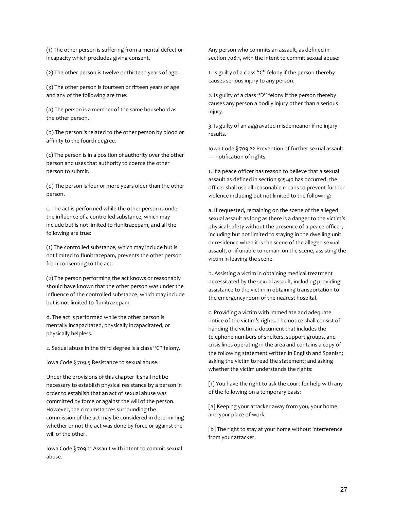(1) The other person is suffering from a mental defect or incapacity which precludes giving consent.

(2) The other person is twelve or thirteen years of age.

(3) The other person is fourteen or fifteen years of age and any of the following are true:

(a) The person is a member of the same household as the other person.

(b) The person is related to the other person by blood or affinity to the fourth degree.

(c) The person is in a position of authority over the other person and uses that authority to coerce the other person to submit.

(d) The person is four or more years older than the other person.

c. The act is performed while the other person is under the influence of a controlled substance, which may include but is not limited to flunitrazepam, and all the following are true:

(1) The controlled substance, which may include but is not limited to flunitrazepam, prevents the other person from consenting to the act.

(2) The person performing the act knows or reasonably should have known that the other person was under the influence of the controlled substance, which may include but is not limited to flunitrazepam.

d. The act is performed while the other person is mentally incapacitated, physically incapacitated, or physically helpless.

2. Sexual abuse in the third degree is a class "C" felony.

Iowa Code § 709.5 Resistance to sexual abuse.

Under the provisions of this chapter it shall not be necessary to establish physical resistance by a person in order to establish that an act of sexual abuse was committed by force or against the will of the person. However, the circumstances surrounding the commission of the act may be considered in determining whether or not the act was done by force or against the will of the other.

Iowa Code § 709.11 Assault with intent to commit sexual abuse.

Any person who commits an assault, as defined in section 708.1, with the intent to commit sexual abuse:

1. Is guilty of a class "C" felony if the person thereby causes serious injury to any person.

2. Is guilty of a class "D" felony if the person thereby causes any person a bodily injury other than a serious injury.

3. Is guilty of an aggravated misdemeanor if no injury results.

Iowa Code § 709.22 Prevention of further sexual assault — notification of rights.

1. If a peace officer has reason to believe that a sexual assault as defined in section 915.40 has occurred, the officer shall use all reasonable means to prevent further violence including but not limited to the following:

a. If requested, remaining on the scene of the alleged sexual assault as long as there is a danger to the victim's physical safety without the presence of a peace officer, including but not limited to staying in the dwelling unit or residence when it is the scene of the alleged sexual assault, or if unable to remain on the scene, assisting the victim in leaving the scene.

b. Assisting a victim in obtaining medical treatment necessitated by the sexual assault, including providing assistance to the victim in obtaining transportation to the emergency room of the nearest hospital.

c. Providing a victim with immediate and adequate notice of the victim's rights. The notice shall consist of handing the victim a document that includes the telephone numbers of shelters, support groups, and crisis lines operating in the area and contains a copy of the following statement written in English and Spanish; asking the victim to read the statement; and asking whether the victim understands the rights:

[1] You have the right to ask the court for help with any of the following on a temporary basis:

[a] Keeping your attacker away from you, your home, and your place of work.

[b] The right to stay at your home without interference from your attacker.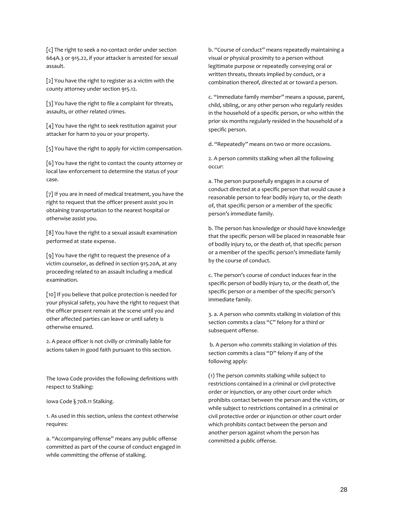[c] The right to seek a no-contact order under section 664A.3 or 915.22, if your attacker is arrested for sexual assault.

[2] You have the right to register as a victim with the county attorney under section 915.12.

[3] You have the right to file a complaint for threats, assaults, or other related crimes.

[4] You have the right to seek restitution against your attacker for harm to you or your property.

[5] You have the right to apply for victim compensation.

[6] You have the right to contact the county attorney or local law enforcement to determine the status of your case.

[7] If you are in need of medical treatment, you have the right to request that the officer present assist you in obtaining transportation to the nearest hospital or otherwise assist you.

[8] You have the right to a sexual assault examination performed at state expense.

[9] You have the right to request the presence of a victim counselor, as defined in section 915.20A, at any proceeding related to an assault including a medical examination.

[10] If you believe that police protection is needed for your physical safety, you have the right to request that the officer present remain at the scene until you and other affected parties can leave or until safety is otherwise ensured.

2. A peace officer is not civilly or criminally liable for actions taken in good faith pursuant to this section.

The Iowa Code provides the following definitions with respect to Stalking:

Iowa Code § 708.11 Stalking.

1. As used in this section, unless the context otherwise requires:

a. "Accompanying offense" means any public offense committed as part of the course of conduct engaged in while committing the offense of stalking.

b. "Course of conduct" means repeatedly maintaining a visual or physical proximity to a person without legitimate purpose or repeatedly conveying oral or written threats, threats implied by conduct, or a combination thereof, directed at or toward a person.

c. "Immediate family member" means a spouse, parent, child, sibling, or any other person who regularly resides in the household of a specific person, or who within the prior six months regularly resided in the household of a specific person.

d. "Repeatedly" means on two or more occasions.

2. A person commits stalking when all the following occur:

a. The person purposefully engages in a course of conduct directed at a specific person that would cause a reasonable person to fear bodily injury to, or the death of, that specific person or a member of the specific person's immediate family.

b. The person has knowledge or should have knowledge that the specific person will be placed in reasonable fear of bodily injury to, or the death of, that specific person or a member of the specific person's immediate family by the course of conduct.

c. The person's course of conduct induces fear in the specific person of bodily injury to, or the death of, the specific person or a member of the specific person's immediate family.

3. a. A person who commits stalking in violation of this section commits a class "C" felony for a third or subsequent offense.

b. A person who commits stalking in violation of this section commits a class "D" felony if any of the following apply:

(1) The person commits stalking while subject to restrictions contained in a criminal or civil protective order or injunction, or any other court order which prohibits contact between the person and the victim, or while subject to restrictions contained in a criminal or civil protective order or injunction or other court order which prohibits contact between the person and another person against whom the person has committed a public offense.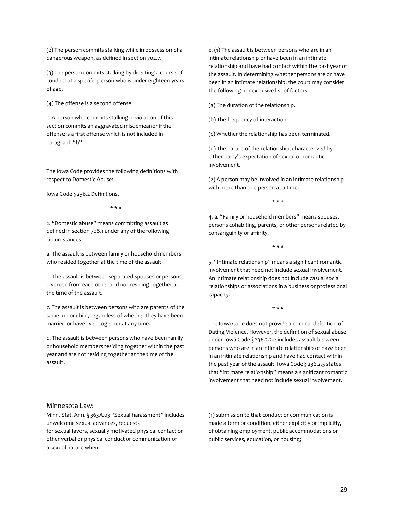(2) The person commits stalking while in possession of a dangerous weapon, as defined in section 702.7.

(3) The person commits stalking by directing a course of conduct at a specific person who is under eighteen years of age.

(4) The offense is a second offense.

c. A person who commits stalking in violation of this section commits an aggravated misdemeanor if the offense is a first offense which is not included in paragraph "b".

The Iowa Code provides the following definitions with respect to Domestic Abuse:

Iowa Code § 236.2 Definitions.

\* \* \*

2. "Domestic abuse" means committing assault as defined in section 708.1 under any of the following circumstances:

a. The assault is between family or household members who resided together at the time of the assault.

b. The assault is between separated spouses or persons divorced from each other and not residing together at the time of the assault.

c. The assault is between persons who are parents of the same minor child, regardless of whether they have been married or have lived together at any time.

d. The assault is between persons who have been family or household members residing together within the past year and are not residing together at the time of the assault.

e. (1) The assault is between persons who are in an intimate relationship or have been in an intimate relationship and have had contact within the past year of the assault. In determining whether persons are or have been in an intimate relationship, the court may consider the following nonexclusive list of factors:

(a) The duration of the relationship.

(b) The frequency of interaction.

(c) Whether the relationship has been terminated.

(d) The nature of the relationship, characterized by either party's expectation of sexual or romantic involvement.

(2) A person may be involved in an intimate relationship with more than one person at a time.

\* \* \*

4. a. "Family or household members" means spouses, persons cohabiting, parents, or other persons related by consanguinity or affinity.

\* \* \*

5. "Intimate relationship" means a significant romantic involvement that need not include sexual involvement. An intimate relationship does not include casual social relationships or associations in a business or professional capacity.

\* \* \*

The Iowa Code does not provide a criminal definition of Dating Violence. However, the definition of sexual abuse under Iowa Code § 236.2.2.e includes assault between persons who are in an intimate relationship or have been in an intimate relationship and have had contact within the past year of the assault. Iowa Code § 236.2.5 states that "intimate relationship" means a significant romantic involvement that need not include sexual involvement.

#### Minnesota Law:

Minn. Stat. Ann. § 363A.03 "Sexual harassment" includes unwelcome sexual advances, requests for sexual favors, sexually motivated physical contact or other verbal or physical conduct or communication of a sexual nature when:

(1) submission to that conduct or communication is made a term or condition, either explicitly or implicitly, of obtaining employment, public accommodations or public services, education, or housing;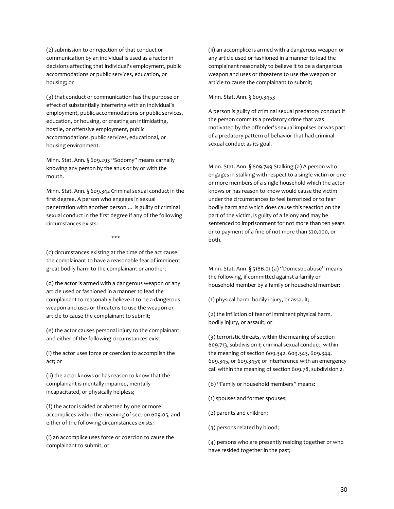(2) submission to or rejection of that conduct or communication by an individual is used as a factor in decisions affecting that individual's employment, public accommodations or public services, education, or housing; or

(3) that conduct or communication has the purpose or effect of substantially interfering with an individual's employment, public accommodations or public services, education, or housing, or creating an intimidating, hostile, or offensive employment, public accommodations, public services, educational, or housing environment.

Minn. Stat. Ann. § 609.293 "Sodomy" means carnally knowing any person by the anus or by or with the mouth.

Minn. Stat. Ann. § 609.342 Criminal sexual conduct in the first degree. A person who engages in sexual penetration with another person … is guilty of criminal sexual conduct in the first degree if any of the following circumstances exists:

#### \*\*\*

(c) circumstances existing at the time of the act cause the complainant to have a reasonable fear of imminent great bodily harm to the complainant or another;

(d) the actor is armed with a dangerous weapon or any article used or fashioned in a manner to lead the complainant to reasonably believe it to be a dangerous weapon and uses or threatens to use the weapon or article to cause the complainant to submit;

(e) the actor causes personal injury to the complainant, and either of the following circumstances exist:

(i) the actor uses force or coercion to accomplish the act; or

(ii) the actor knows or has reason to know that the complainant is mentally impaired, mentally incapacitated, or physically helpless;

(f) the actor is aided or abetted by one or more accomplices within the meaning of section 609.05, and either of the following circumstances exists:

(i) an accomplice uses force or coercion to cause the complainant to submit; or

(ii) an accomplice is armed with a dangerous weapon or any article used or fashioned in a manner to lead the complainant reasonably to believe it to be a dangerous weapon and uses or threatens to use the weapon or article to cause the complainant to submit;

#### Minn. Stat. Ann. § 609.3453

A person is guilty of criminal sexual predatory conduct if the person commits a predatory crime that was motivated by the offender's sexual impulses or was part of a predatory pattern of behavior that had criminal sexual conduct as its goal.

Minn. Stat. Ann. § 609.749 Stalking.(a) A person who engages in stalking with respect to a single victim or one or more members of a single household which the actor knows or has reason to know would cause the victim under the circumstances to feel terrorized or to fear bodily harm and which does cause this reaction on the part of the victim, is guilty of a felony and may be sentenced to imprisonment for not more than ten years or to payment of a fine of not more than \$20,000, or both.

Minn. Stat. Ann. § 518B.01 (a) "Domestic abuse" means the following, if committed against a family or household member by a family or household member:

(1) physical harm, bodily injury, or assault;

(2) the infliction of fear of imminent physical harm, bodily injury, or assault; or

(3) terroristic threats, within the meaning of section 609.713, subdivision 1; criminal sexual conduct, within the meaning of section 609.342, 609.343, 609.344, 609.345, or 609.3451; or interference with an emergency call within the meaning of section 609.78, subdivision 2.

(b) "Family or household members" means:

- (1) spouses and former spouses;
- (2) parents and children;
- (3) persons related by blood;

(4) persons who are presently residing together or who have resided together in the past;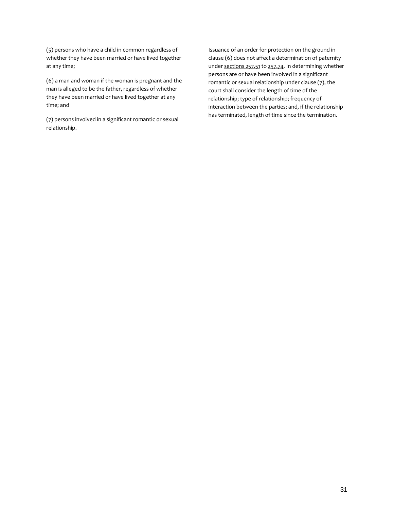(5) persons who have a child in common regardless of whether they have been married or have lived together at any time;

(6) a man and woman if the woman is pregnant and the man is alleged to be the father, regardless of whether they have been married or have lived together at any time; and

(7) persons involved in a significant romantic or sexual relationship.

Issuance of an order for protection on the ground in clause (6) does not affect a determination of paternity under [sections 257.51](https://1.next.westlaw.com/Link/Document/FullText?findType=L&pubNum=1000044&cite=MNSTS257.51&originatingDoc=N0F658AF0F66A11E9BC718A826612E73A&refType=LQ&originationContext=document&transitionType=DocumentItem&contextData=(sc.Search)) to [257.74.](https://1.next.westlaw.com/Link/Document/FullText?findType=L&pubNum=1000044&cite=MNSTS257.74&originatingDoc=N0F658AF0F66A11E9BC718A826612E73A&refType=LQ&originationContext=document&transitionType=DocumentItem&contextData=(sc.Search)) In determining whether persons are or have been involved in a significant romantic or sexual relationship under clause (7), the court shall consider the length of time of the relationship; type of relationship; frequency of interaction between the parties; and, if the relationship has terminated, length of time since the termination.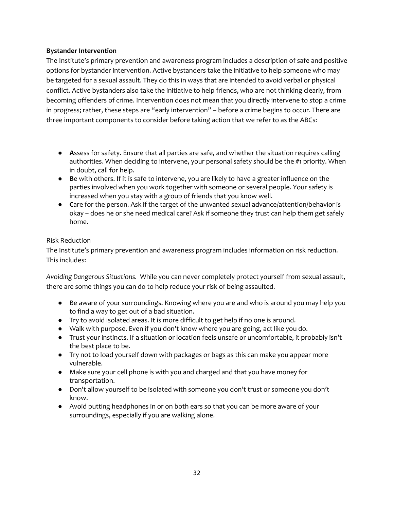## **Bystander Intervention**

The Institute's primary prevention and awareness program includes a description of safe and positive options for bystander intervention. Active bystanders take the initiative to help someone who may be targeted for a sexual assault. They do this in ways that are intended to avoid verbal or physical conflict. Active bystanders also take the initiative to help friends, who are not thinking clearly, from becoming offenders of crime. Intervention does not mean that you directly intervene to stop a crime in progress; rather, these steps are "early intervention" – before a crime begins to occur. There are three important components to consider before taking action that we refer to as the ABCs:

- **A**ssess for safety. Ensure that all parties are safe, and whether the situation requires calling authorities. When deciding to intervene, your personal safety should be the #1 priority. When in doubt, call for help.
- **Be** with others. If it is safe to intervene, you are likely to have a greater influence on the parties involved when you work together with someone or several people. Your safety is increased when you stay with a group of friends that you know well.
- **Care for the person. Ask if the target of the unwanted sexual advance/attention/behavior is** okay – does he or she need medical care? Ask if someone they trust can help them get safely home.

## Risk Reduction

The Institute's primary prevention and awareness program includes information on risk reduction. This includes:

*Avoiding Dangerous Situations.* While you can never completely protect yourself from sexual assault, there are some things you can do to help reduce your risk of being assaulted.

- Be aware of your surroundings. Knowing where you are and who is around you may help you to find a way to get out of a bad situation.
- Try to avoid isolated areas. It is more difficult to get help if no one is around.
- Walk with purpose. Even if you don't know where you are going, act like you do.
- Trust your instincts. If a situation or location feels unsafe or uncomfortable, it probably isn't the best place to be.
- Try not to load yourself down with packages or bags as this can make you appear more vulnerable.
- Make sure your cell phone is with you and charged and that you have money for transportation.
- Don't allow yourself to be isolated with someone you don't trust or someone you don't know.
- Avoid putting headphones in or on both ears so that you can be more aware of your surroundings, especially if you are walking alone.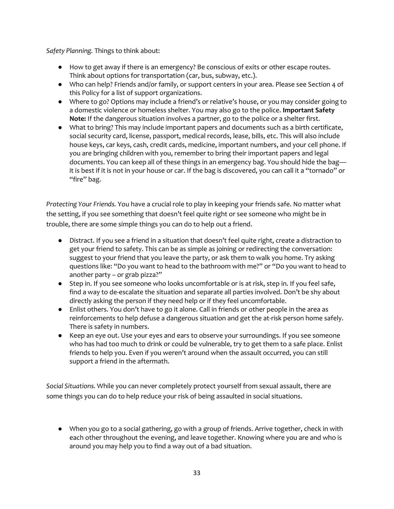*Safety Planning.* Things to think about:

- How to get away if there is an emergency? Be conscious of exits or other escape routes. Think about options for transportation (car, bus, subway, etc.).
- Who can help? Friends and/or family, or support centers in your area. Please see Section 4 of this Policy for a list of support organizations.
- Where to go? Options may include a friend's or relative's house, or you may consider going to a domestic violence or homeless shelter. You may also go to the police. **Important Safety Note:** If the dangerous situation involves a partner, go to the police or a shelter first.
- What to bring? This may include important papers and documents such as a birth certificate, social security card, license, passport, medical records, lease, bills, etc. This will also include house keys, car keys, cash, credit cards, medicine, important numbers, and your cell phone. If you are bringing children with you, remember to bring their important papers and legal documents. You can keep all of these things in an emergency bag. You should hide the bag it is best if it is not in your house or car. If the bag is discovered, you can call it a "tornado" or "fire" bag.

*Protecting Your Friends.* You have a crucial role to play in keeping your friends safe. No matter what the setting, if you see something that doesn't feel quite right or see someone who might be in trouble, there are some simple things you can do to help out a friend.

- Distract. If you see a friend in a situation that doesn't feel quite right, create a distraction to get your friend to safety. This can be as simple as joining or redirecting the conversation: suggest to your friend that you leave the party, or ask them to walk you home. Try asking questions like: "Do you want to head to the bathroom with me?" or "Do you want to head to another party – or grab pizza?"
- Step in. If you see someone who looks uncomfortable or is at risk, step in. If you feel safe, find a way to de-escalate the situation and separate all parties involved. Don't be shy about directly asking the person if they need help or if they feel uncomfortable.
- Enlist others. You don't have to go it alone. Call in friends or other people in the area as reinforcements to help defuse a dangerous situation and get the at-risk person home safely. There is safety in numbers.
- Keep an eye out. Use your eyes and ears to observe your surroundings. If you see someone who has had too much to drink or could be vulnerable, try to get them to a safe place. Enlist friends to help you. Even if you weren't around when the assault occurred, you can still support a friend in the aftermath.

*Social Situations.* While you can never completely protect yourself from sexual assault, there are some things you can do to help reduce your risk of being assaulted in social situations.

● When you go to a social gathering, go with a group of friends. Arrive together, check in with each other throughout the evening, and leave together. Knowing where you are and who is around you may help you to find a way out of a bad situation.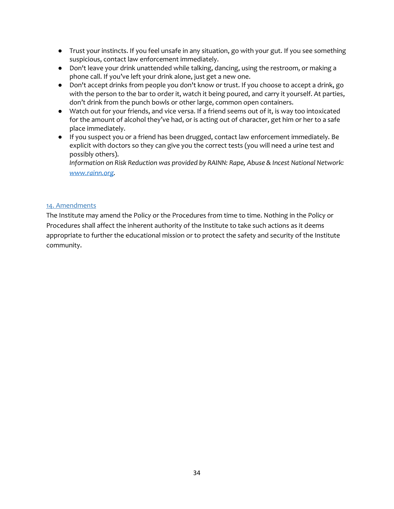- Trust your instincts. If you feel unsafe in any situation, go with your gut. If you see something suspicious, contact law enforcement immediately.
- Don't leave your drink unattended while talking, dancing, using the restroom, or making a phone call. If you've left your drink alone, just get a new one.
- Don't accept drinks from people you don't know or trust. If you choose to accept a drink, go with the person to the bar to order it, watch it being poured, and carry it yourself. At parties, don't drink from the punch bowls or other large, common open containers.
- Watch out for your friends, and vice versa. If a friend seems out of it, is way too intoxicated for the amount of alcohol they've had, or is acting out of character, get him or her to a safe place immediately.
- If you suspect you or a friend has been drugged, contact law enforcement immediately. Be explicit with doctors so they can give you the correct tests (you will need a urine test and possibly others).

*Information on Risk Reduction was provided by RAINN: Rape, Abuse & Incest National Network: [www.rainn.org.](http://www.rainn.org/)*

## 14. Amendments

The Institute may amend the Policy or the Procedures from time to time. Nothing in the Policy or Procedures shall affect the inherent authority of the Institute to take such actions as it deems appropriate to further the educational mission or to protect the safety and security of the Institute community.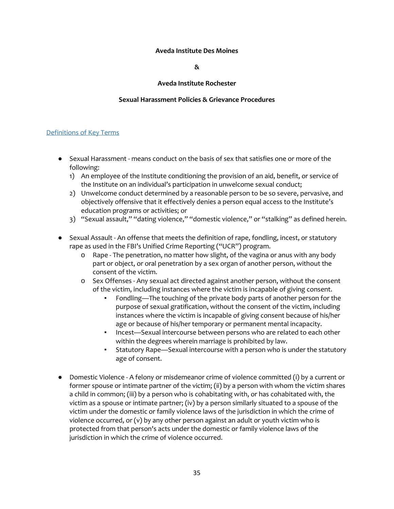#### **Aveda Institute Des Moines**

**&**

### **Aveda Institute Rochester**

### **Sexual Harassment Policies & Grievance Procedures**

#### Definitions of Key Terms

- Sexual Harassment means conduct on the basis of sex that satisfies one or more of the following:
	- 1) An employee of the Institute conditioning the provision of an aid, benefit, or service of the Institute on an individual's participation in unwelcome sexual conduct;
	- 2) Unwelcome conduct determined by a reasonable person to be so severe, pervasive, and objectively offensive that it effectively denies a person equal access to the Institute's education programs or activities; or
	- 3) "Sexual assault," "dating violence," "domestic violence," or "stalking" as defined herein.
- Sexual Assault An offense that meets the definition of rape, fondling, incest, or statutory rape as used in the FBI's Unified Crime Reporting ("UCR") program.
	- o Rape The penetration, no matter how slight, of the vagina or anus with any body part or object, or oral penetration by a sex organ of another person, without the consent of the victim.
	- o Sex Offenses Any sexual act directed against another person, without the consent of the victim, including instances where the victim is incapable of giving consent.
		- Fondling—The touching of the private body parts of another person for the purpose of sexual gratification, without the consent of the victim, including instances where the victim is incapable of giving consent because of his/her age or because of his/her temporary or permanent mental incapacity.
		- Incest—Sexual intercourse between persons who are related to each other within the degrees wherein marriage is prohibited by law.
		- Statutory Rape—Sexual intercourse with a person who is under the statutory age of consent.
- Domestic Violence A felony or misdemeanor crime of violence committed (i) by a current or former spouse or intimate partner of the victim; (ii) by a person with whom the victim shares a child in common; (iii) by a person who is cohabitating with, or has cohabitated with, the victim as a spouse or intimate partner; (iv) by a person similarly situated to a spouse of the victim under the domestic or family violence laws of the jurisdiction in which the crime of violence occurred, or (v) by any other person against an adult or youth victim who is protected from that person's acts under the domestic or family violence laws of the jurisdiction in which the crime of violence occurred.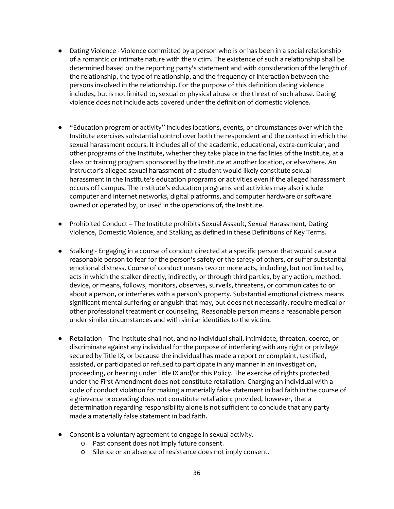- Dating Violence Violence committed by a person who is or has been in a social relationship of a romantic or intimate nature with the victim. The existence of such a relationship shall be determined based on the reporting party's statement and with consideration of the length of the relationship, the type of relationship, and the frequency of interaction between the persons involved in the relationship. For the purpose of this definition dating violence includes, but is not limited to, sexual or physical abuse or the threat of such abuse. Dating violence does not include acts covered under the definition of domestic violence.
- "Education program or activity" includes locations, events, or circumstances over which the Institute exercises substantial control over both the respondent and the context in which the sexual harassment occurs. It includes all of the academic, educational, extra-curricular, and other programs of the Institute, whether they take place in the facilities of the Institute, at a class or training program sponsored by the Institute at another location, or elsewhere. An instructor's alleged sexual harassment of a student would likely constitute sexual harassment in the Institute's education programs or activities even if the alleged harassment occurs off campus. The Institute's education programs and activities may also include computer and internet networks, digital platforms, and computer hardware or software owned or operated by, or used in the operations of, the Institute.
- Prohibited Conduct The Institute prohibits Sexual Assault, Sexual Harassment, Dating Violence, Domestic Violence, and Stalking as defined in these Definitions of Key Terms.
- Stalking Engaging in a course of conduct directed at a specific person that would cause a reasonable person to fear for the person's safety or the safety of others, or suffer substantial emotional distress. Course of conduct means two or more acts, including, but not limited to, acts in which the stalker directly, indirectly, or through third parties, by any action, method, device, or means, follows, monitors, observes, surveils, threatens, or communicates to or about a person, or interferes with a person's property. Substantial emotional distress means significant mental suffering or anguish that may, but does not necessarily, require medical or other professional treatment or counseling. Reasonable person means a reasonable person under similar circumstances and with similar identities to the victim.
- Retaliation The Institute shall not, and no individual shall, intimidate, threaten, coerce, or discriminate against any individual for the purpose of interfering with any right or privilege secured by Title IX, or because the individual has made a report or complaint, testified, assisted, or participated or refused to participate in any manner in an investigation, proceeding, or hearing under Title IX and/or this Policy. The exercise of rights protected under the First Amendment does not constitute retaliation. Charging an individual with a code of conduct violation for making a materially false statement in bad faith in the course of a grievance proceeding does not constitute retaliation; provided, however, that a determination regarding responsibility alone is not sufficient to conclude that any party made a materially false statement in bad faith.
- Consent is a voluntary agreement to engage in sexual activity.
	- o Past consent does not imply future consent.
	- o Silence or an absence of resistance does not imply consent.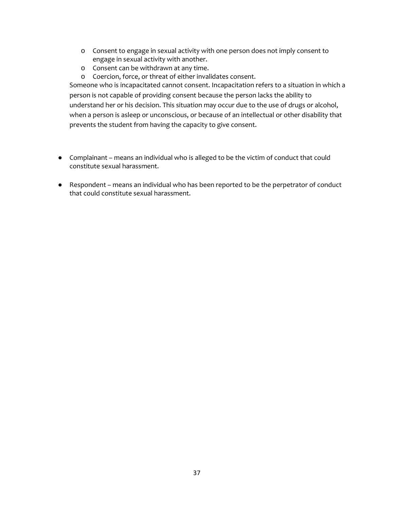- o Consent to engage in sexual activity with one person does not imply consent to engage in sexual activity with another.
- o Consent can be withdrawn at any time.
- o Coercion, force, or threat of either invalidates consent.

Someone who is incapacitated cannot consent. Incapacitation refers to a situation in which a person is not capable of providing consent because the person lacks the ability to understand her or his decision. This situation may occur due to the use of drugs or alcohol, when a person is asleep or unconscious, or because of an intellectual or other disability that prevents the student from having the capacity to give consent.

- Complainant means an individual who is alleged to be the victim of conduct that could constitute sexual harassment.
- Respondent means an individual who has been reported to be the perpetrator of conduct that could constitute sexual harassment.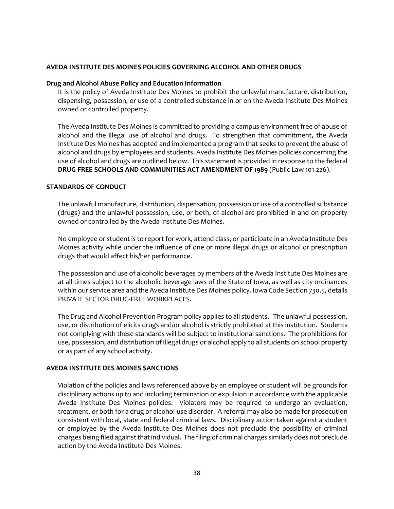### **AVEDA INSTITUTE DES MOINES POLICIES GOVERNING ALCOHOL AND OTHER DRUGS**

#### **Drug and Alcohol Abuse Policy and Education Information**

It is the policy of Aveda Institute Des Moines to prohibit the unlawful manufacture, distribution, dispensing, possession, or use of a controlled substance in or on the Aveda Institute Des Moines owned or controlled property.

The Aveda Institute Des Moines is committed to providing a campus environment free of abuse of alcohol and the illegal use of alcohol and drugs. To strengthen that commitment, the Aveda Institute Des Moines has adopted and implemented a program that seeks to prevent the abuse of alcohol and drugs by employees and students. Aveda Institute Des Moines policies concerning the use of alcohol and drugs are outlined below. This statement is provided in response to the federal **DRUG-FREE SCHOOLS AND COMMUNITIES ACT AMENDMENT OF 1989** (Public Law 101-226).

#### **STANDARDS OF CONDUCT**

The unlawful manufacture, distribution, dispensation, possession or use of a controlled substance (drugs) and the unlawful possession, use, or both, of alcohol are prohibited in and on property owned or controlled by the Aveda Institute Des Moines.

No employee or student is to report for work, attend class, or participate in an Aveda Institute Des Moines activity while under the influence of one or more illegal drugs or alcohol or prescription drugs that would affect his/her performance.

The possession and use of alcoholic beverages by members of the Aveda Institute Des Moines are at all times subject to the alcoholic beverage laws of the State of Iowa, as well as city ordinances within our service area and the Aveda Institute Des Moines policy. Iowa Code Section 730.5, details PRIVATE SECTOR DRUG-FREE WORKPLACES.

The Drug and Alcohol Prevention Program policy applies to all students. The unlawful possession, use, or distribution of elicits drugs and/or alcohol is strictly prohibited at this institution. Students not complying with these standards will be subject to institutional sanctions. The prohibitions for use, possession, and distribution of illegal drugs or alcohol apply to all students on school property or as part of any school activity.

#### **AVEDA INSTITUTE DES MOINES SANCTIONS**

Violation of the policies and laws referenced above by an employee or student will be grounds for disciplinary actions up to and including termination or expulsion in accordance with the applicable Aveda Institute Des Moines policies. Violators may be required to undergo an evaluation, treatment, or both for a drug or alcohol-use disorder. A referral may also be made for prosecution consistent with local, state and federal criminal laws. Disciplinary action taken against a student or employee by the Aveda Institute Des Moines does not preclude the possibility of criminal charges being filed against that individual. The filing of criminal charges similarly does not preclude action by the Aveda Institute Des Moines.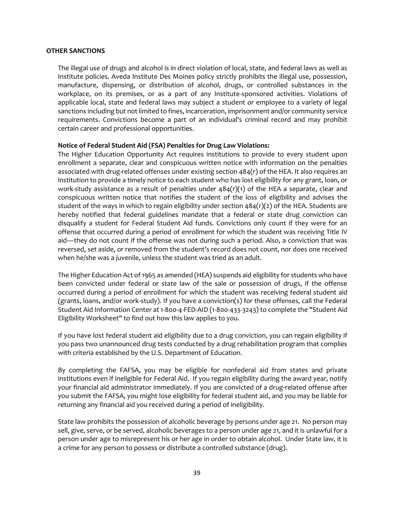#### **OTHER SANCTIONS**

The illegal use of drugs and alcohol is in direct violation of local, state, and federal laws as well as Institute policies. Aveda Institute Des Moines policy strictly prohibits the illegal use, possession, manufacture, dispensing, or distribution of alcohol, drugs, or controlled substances in the workplace, on its premises, or as a part of any Institute-sponsored activities. Violations of applicable local, state and federal laws may subject a student or employee to a variety of legal sanctions including but not limited to fines, incarceration, imprisonment and/or community service requirements. Convictions become a part of an individual's criminal record and may prohibit certain career and professional opportunities.

#### **Notice of Federal Student Aid (FSA) Penalties for Drug Law Violations:**

The Higher Education Opportunity Act requires institutions to provide to every student upon enrollment a separate, clear and conspicuous written notice with information on the penalties associated with drug-related offenses under existing section 484(r) of the HEA. It also requires an institution to provide a timely notice to each student who has lost eligibility for any grant, loan, or work-study assistance as a result of penalties under  $484(r)(1)$  of the HEA a separate, clear and conspicuous written notice that notifies the student of the loss of eligibility and advises the student of the ways in which to regain eligibility under section  $484(r)(2)$  of the HEA. Students are hereby notified that federal guidelines mandate that a federal or state drug conviction can disqualify a student for Federal Student Aid funds. Convictions only count if they were for an offense that occurred during a period of enrollment for which the student was receiving Title IV aid—they do not count if the offense was not during such a period. Also, a conviction that was reversed, set aside, or removed from the student's record does not count, nor does one received when he/she was a juvenile, unless the student was tried as an adult.

The Higher Education Act of 1965 as amended (HEA) suspends aid eligibility for students who have been convicted under federal or state law of the sale or possession of drugs, if the offense occurred during a period of enrollment for which the student was receiving federal student aid (grants, loans, and/or work-study). If you have a conviction(s) for these offenses, call the Federal Student Aid Information Center at 1-800-4-FED-AID (1-800-433-3243) to complete the "Student Aid Eligibility Worksheet" to find out how this law applies to you.

If you have lost federal student aid eligibility due to a drug conviction, you can regain eligibility if you pass two unannounced drug tests conducted by a drug rehabilitation program that complies with criteria established by the U.S. Department of Education.

By completing the FAFSA, you may be eligible for nonfederal aid from states and private institutions even if ineligible for Federal Aid. If you regain eligibility during the award year, notify your financial aid administrator immediately. If you are convicted of a drug-related offense after you submit the FAFSA, you might lose eligibility for federal student aid, and you may be liable for returning any financial aid you received during a period of ineligibility.

State law prohibits the possession of alcoholic beverage by persons under age 21. No person may sell, give, serve, or be served, alcoholic beverages to a person under age 21, and it is unlawful for a person under age to misrepresent his or her age in order to obtain alcohol. Under State law, it is a crime for any person to possess or distribute a controlled substance (drug).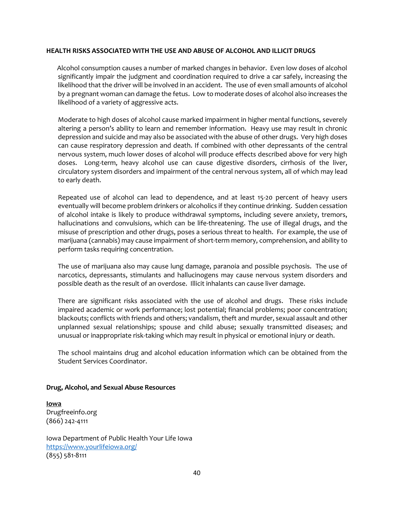#### **HEALTH RISKS ASSOCIATED WITH THE USE AND ABUSE OF ALCOHOL AND ILLICIT DRUGS**

 Alcohol consumption causes a number of marked changes in behavior. Even low doses of alcohol significantly impair the judgment and coordination required to drive a car safely, increasing the likelihood that the driver will be involved in an accident. The use of even small amounts of alcohol by a pregnant woman can damage the fetus. Low to moderate doses of alcohol also increases the likelihood of a variety of aggressive acts.

Moderate to high doses of alcohol cause marked impairment in higher mental functions, severely altering a person's ability to learn and remember information. Heavy use may result in chronic depression and suicide and may also be associated with the abuse of other drugs. Very high doses can cause respiratory depression and death. If combined with other depressants of the central nervous system, much lower doses of alcohol will produce effects described above for very high doses. Long-term, heavy alcohol use can cause digestive disorders, cirrhosis of the liver, circulatory system disorders and impairment of the central nervous system, all of which may lead to early death.

Repeated use of alcohol can lead to dependence, and at least 15-20 percent of heavy users eventually will become problem drinkers or alcoholics if they continue drinking. Sudden cessation of alcohol intake is likely to produce withdrawal symptoms, including severe anxiety, tremors, hallucinations and convulsions, which can be life-threatening. The use of illegal drugs, and the misuse of prescription and other drugs, poses a serious threat to health. For example, the use of marijuana (cannabis) may cause impairment of short-term memory, comprehension, and ability to perform tasks requiring concentration.

The use of marijuana also may cause lung damage, paranoia and possible psychosis. The use of narcotics, depressants, stimulants and hallucinogens may cause nervous system disorders and possible death as the result of an overdose. Illicit inhalants can cause liver damage.

There are significant risks associated with the use of alcohol and drugs. These risks include impaired academic or work performance; lost potential; financial problems; poor concentration; blackouts; conflicts with friends and others; vandalism, theft and murder, sexual assault and other unplanned sexual relationships; spouse and child abuse; sexually transmitted diseases; and unusual or inappropriate risk-taking which may result in physical or emotional injury or death.

The school maintains drug and alcohol education information which can be obtained from the Student Services Coordinator.

#### **Drug, Alcohol, and Sexual Abuse Resources**

**Iowa** Drugfreeinfo.org (866) 242-4111

Iowa Department of Public Health Your Life Iowa <https://www.yourlifeiowa.org/> (855) 581-8111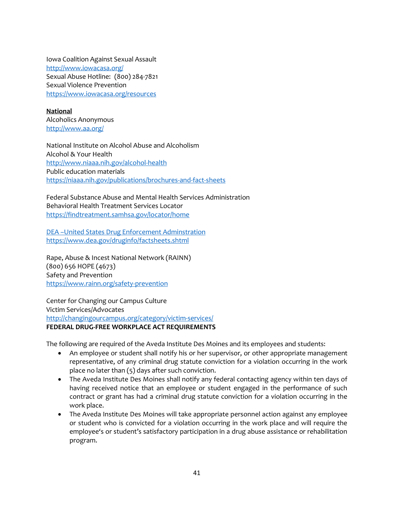Iowa Coalition Against Sexual Assault <http://www.iowacasa.org/> Sexual Abuse Hotline: (800) 284-7821 Sexual Violence Prevention <https://www.iowacasa.org/resources>

**National** Alcoholics Anonymous <http://www.aa.org/>

National Institute on Alcohol Abuse and Alcoholism Alcohol & Your Health <http://www.niaaa.nih.gov/alcohol-health> Public education materials <https://niaaa.nih.gov/publications/brochures-and-fact-sheets>

Federal Substance Abuse and Mental Health Services Administration Behavioral Health Treatment Services Locator <https://findtreatment.samhsa.gov/locator/home>

DEA –United States Drug Enforcement Adminstration <https://www.dea.gov/druginfo/factsheets.shtml>

Rape, Abuse & Incest National Network (RAINN) (800) 656 HOPE (4673) Safety and Prevention <https://www.rainn.org/safety-prevention>

Center for Changing our Campus Culture Victim Services/Advocates <http://changingourcampus.org/category/victim-services/> **FEDERAL DRUG-FREE WORKPLACE ACT REQUIREMENTS**

The following are required of the Aveda Institute Des Moines and its employees and students:

- An employee or student shall notify his or her supervisor, or other appropriate management representative, of any criminal drug statute conviction for a violation occurring in the work place no later than (5) days after such conviction.
- The Aveda Institute Des Moines shall notify any federal contacting agency within ten days of having received notice that an employee or student engaged in the performance of such contract or grant has had a criminal drug statute conviction for a violation occurring in the work place.
- The Aveda Institute Des Moines will take appropriate personnel action against any employee or student who is convicted for a violation occurring in the work place and will require the employee's or student's satisfactory participation in a drug abuse assistance or rehabilitation program.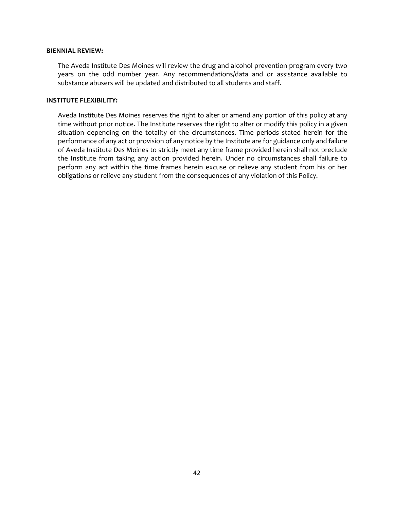#### **BIENNIAL REVIEW:**

The Aveda Institute Des Moines will review the drug and alcohol prevention program every two years on the odd number year. Any recommendations/data and or assistance available to substance abusers will be updated and distributed to all students and staff.

#### **INSTITUTE FLEXIBILITY:**

Aveda Institute Des Moines reserves the right to alter or amend any portion of this policy at any time without prior notice. The Institute reserves the right to alter or modify this policy in a given situation depending on the totality of the circumstances. Time periods stated herein for the performance of any act or provision of any notice by the Institute are for guidance only and failure of Aveda Institute Des Moines to strictly meet any time frame provided herein shall not preclude the Institute from taking any action provided herein. Under no circumstances shall failure to perform any act within the time frames herein excuse or relieve any student from his or her obligations or relieve any student from the consequences of any violation of this Policy.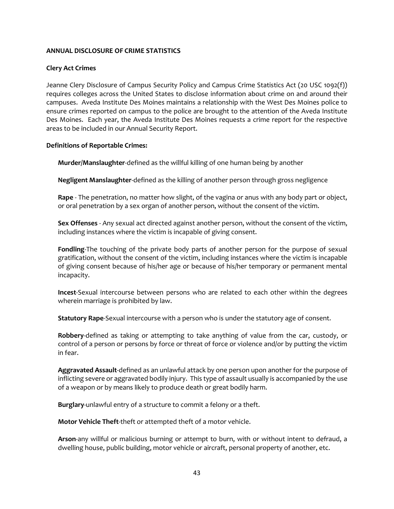### **ANNUAL DISCLOSURE OF CRIME STATISTICS**

### **Clery Act Crimes**

Jeanne Clery Disclosure of Campus Security Policy and Campus Crime Statistics Act (20 USC 1092(f)) requires colleges across the United States to disclose information about crime on and around their campuses. Aveda Institute Des Moines maintains a relationship with the West Des Moines police to ensure crimes reported on campus to the police are brought to the attention of the Aveda Institute Des Moines. Each year, the Aveda Institute Des Moines requests a crime report for the respective areas to be included in our Annual Security Report.

#### **Definitions of Reportable Crimes:**

**Murder/Manslaughter**-defined as the willful killing of one human being by another

**Negligent Manslaughter**-defined as the killing of another person through gross negligence

**Rape** - The penetration, no matter how slight, of the vagina or anus with any body part or object, or oral penetration by a sex organ of another person, without the consent of the victim.

**Sex Offenses** - Any sexual act directed against another person, without the consent of the victim, including instances where the victim is incapable of giving consent.

**Fondling**-The touching of the private body parts of another person for the purpose of sexual gratification, without the consent of the victim, including instances where the victim is incapable of giving consent because of his/her age or because of his/her temporary or permanent mental incapacity.

**Incest**-Sexual intercourse between persons who are related to each other within the degrees wherein marriage is prohibited by law.

**Statutory Rape**-Sexual intercourse with a person who is under the statutory age of consent.

**Robbery**-defined as taking or attempting to take anything of value from the car, custody, or control of a person or persons by force or threat of force or violence and/or by putting the victim in fear.

**Aggravated Assault**-defined as an unlawful attack by one person upon another for the purpose of inflicting severe or aggravated bodily injury. This type of assault usually is accompanied by the use of a weapon or by means likely to produce death or great bodily harm.

**Burglary**-unlawful entry of a structure to commit a felony or a theft.

**Motor Vehicle Theft**-theft or attempted theft of a motor vehicle.

**Arson**-any willful or malicious burning or attempt to burn, with or without intent to defraud, a dwelling house, public building, motor vehicle or aircraft, personal property of another, etc.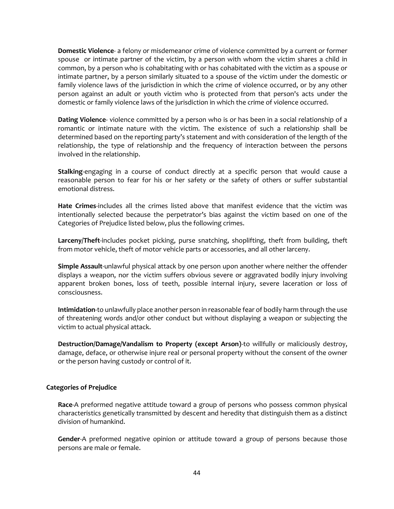**Domestic Violence**- a felony or misdemeanor crime of violence committed by a current or former spouse or intimate partner of the victim, by a person with whom the victim shares a child in common, by a person who is cohabitating with or has cohabitated with the victim as a spouse or intimate partner, by a person similarly situated to a spouse of the victim under the domestic or family violence laws of the jurisdiction in which the crime of violence occurred, or by any other person against an adult or youth victim who is protected from that person's acts under the domestic or family violence laws of the jurisdiction in which the crime of violence occurred.

**Dating Violence**- violence committed by a person who is or has been in a social relationship of a romantic or intimate nature with the victim. The existence of such a relationship shall be determined based on the reporting party's statement and with consideration of the length of the relationship, the type of relationship and the frequency of interaction between the persons involved in the relationship.

**Stalking**-engaging in a course of conduct directly at a specific person that would cause a reasonable person to fear for his or her safety or the safety of others or suffer substantial emotional distress.

**Hate Crimes**-includes all the crimes listed above that manifest evidence that the victim was intentionally selected because the perpetrator's bias against the victim based on one of the Categories of Prejudice listed below, plus the following crimes.

**Larceny/Theft**-includes pocket picking, purse snatching, shoplifting, theft from building, theft from motor vehicle, theft of motor vehicle parts or accessories, and all other larceny.

**Simple Assault**-unlawful physical attack by one person upon another where neither the offender displays a weapon, nor the victim suffers obvious severe or aggravated bodily injury involving apparent broken bones, loss of teeth, possible internal injury, severe laceration or loss of consciousness.

**Intimidation**-to unlawfully place another person in reasonable fear of bodily harm through the use of threatening words and/or other conduct but without displaying a weapon or subjecting the victim to actual physical attack.

**Destruction/Damage/Vandalism to Property (except Arson)**-to willfully or maliciously destroy, damage, deface, or otherwise injure real or personal property without the consent of the owner or the person having custody or control of it.

#### **Categories of Prejudice**

**Race**-A preformed negative attitude toward a group of persons who possess common physical characteristics genetically transmitted by descent and heredity that distinguish them as a distinct division of humankind.

**Gender**-A preformed negative opinion or attitude toward a group of persons because those persons are male or female.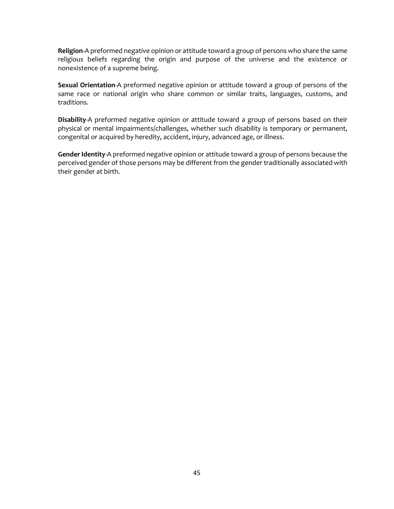**Religion**-A preformed negative opinion or attitude toward a group of persons who share the same religious beliefs regarding the origin and purpose of the universe and the existence or nonexistence of a supreme being.

**Sexual Orientation**-A preformed negative opinion or attitude toward a group of persons of the same race or national origin who share common or similar traits, languages, customs, and traditions.

**Disability**-A preformed negative opinion or attitude toward a group of persons based on their physical or mental impairments/challenges, whether such disability is temporary or permanent, congenital or acquired by heredity, accident, injury, advanced age, or illness.

**Gender Identity**-A preformed negative opinion or attitude toward a group of persons because the perceived gender of those persons may be different from the gender traditionally associated with their gender at birth.